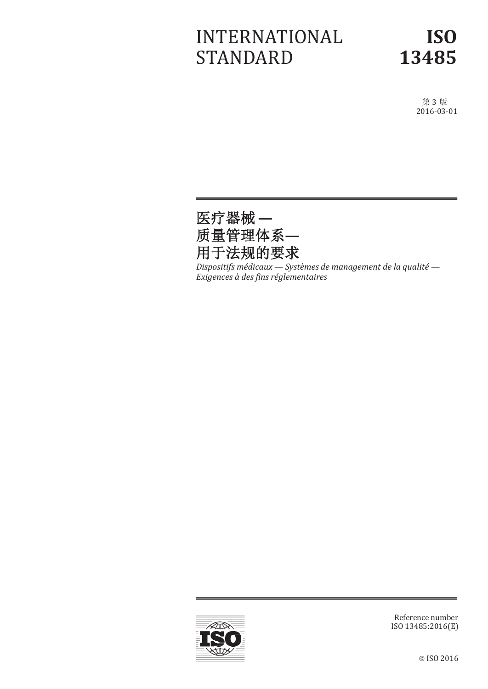# INTERNATIONAL STANDARD

# **ISO 13485**

第 3 版 2016-03-01



*Dispositifs médicaux — Systèmes de management de la qualité — Exigences à des fins réglementaires*



Reference number ISO 13485:2016(E)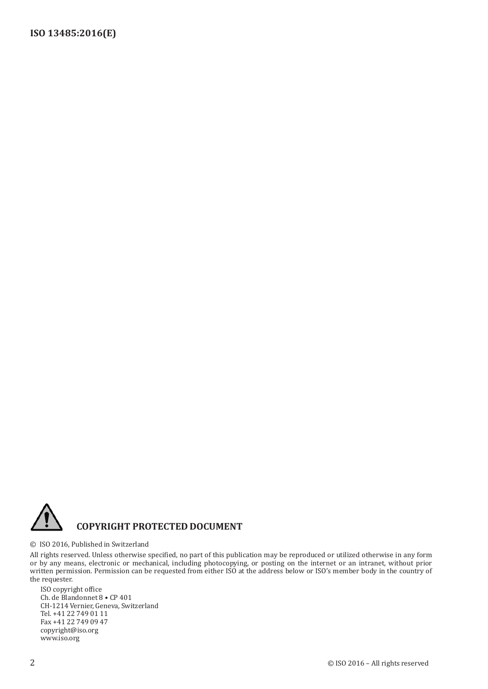

#### © ISO 2016, Published in Switzerland

All rights reserved. Unless otherwise specified, no part of this publication may be reproduced or utilized otherwise in any form or by any means, electronic or mechanical, including photocopying, or posting on the internet or an intranet, without prior written permission. Permission can be requested from either ISO at the address below or ISO's member body in the country of the requester.

ISO copyright office Ch. de Blandonnet 8 • CP 401 CH-1214 Vernier, Geneva, Switzerland Tel. +41 22 749 01 11 Fax +41 22 749 09 47 [copyright@iso.org](mailto:copyright@iso.org) [www.iso.org](http://www.iso.org/)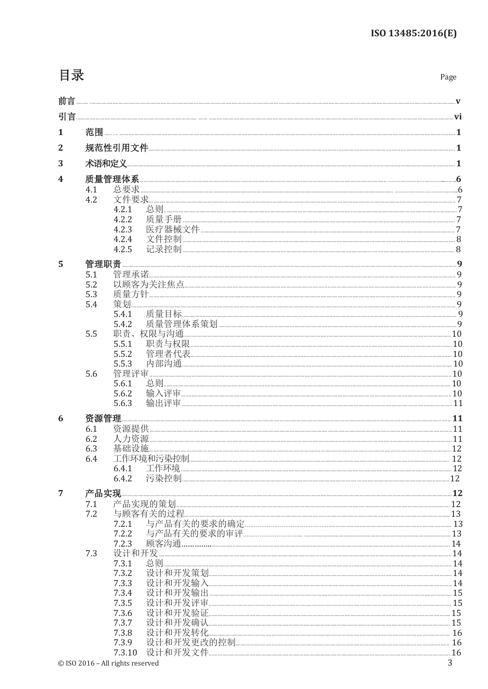# 目录

| . .<br>×<br>×<br>۰,<br>I<br>۰.<br>× |
|-------------------------------------|
|-------------------------------------|

|                |            | $ \hat{  }  \equiv$  |  |  |  |  |  |
|----------------|------------|----------------------|--|--|--|--|--|
|                |            |                      |  |  |  |  |  |
| 1              |            |                      |  |  |  |  |  |
| $\overline{2}$ |            |                      |  |  |  |  |  |
| 3              |            |                      |  |  |  |  |  |
| 4              |            |                      |  |  |  |  |  |
|                | 4.1        |                      |  |  |  |  |  |
|                | 4.2        | 4.2.1                |  |  |  |  |  |
|                |            | 4.2.2                |  |  |  |  |  |
|                |            | 4.2.3                |  |  |  |  |  |
|                |            | 4.2.4<br>4.2.5       |  |  |  |  |  |
| 5              | 管理职责       |                      |  |  |  |  |  |
|                | 5.1        |                      |  |  |  |  |  |
|                | 5.2        |                      |  |  |  |  |  |
|                | 5.3<br>5.4 | 策划                   |  |  |  |  |  |
|                |            | 5.4.1                |  |  |  |  |  |
|                |            | 5.4.2                |  |  |  |  |  |
|                | 5.5        | 5.5.1                |  |  |  |  |  |
|                |            | 5.5.2                |  |  |  |  |  |
|                |            | 5.5.3                |  |  |  |  |  |
|                | 5.6        | 5.6.1                |  |  |  |  |  |
|                |            | 5.6.2                |  |  |  |  |  |
|                |            | 5.6.3                |  |  |  |  |  |
| 6              | 资源管理       |                      |  |  |  |  |  |
|                | 6.1<br>6.2 |                      |  |  |  |  |  |
|                | 6.3        |                      |  |  |  |  |  |
|                | 6.4        |                      |  |  |  |  |  |
|                |            | 6.4.1                |  |  |  |  |  |
| 7              | 产品实现       |                      |  |  |  |  |  |
|                | 7.1        | 产品实现的策划              |  |  |  |  |  |
|                | 7.2        | 与顾客有关的过程             |  |  |  |  |  |
|                |            | 7.2.1<br>7.2.2       |  |  |  |  |  |
|                |            | 7.2.3                |  |  |  |  |  |
|                | 7.3        | 设计和开发<br>总则<br>7.3.1 |  |  |  |  |  |
|                |            | 7.3.2                |  |  |  |  |  |
|                |            | 7.3.3                |  |  |  |  |  |
|                |            | 7.3.4<br>7.3.5       |  |  |  |  |  |
|                |            | 7.3.6                |  |  |  |  |  |
|                |            | 7.3.7                |  |  |  |  |  |
|                |            | 7.3.8<br>7.3.9       |  |  |  |  |  |
|                |            | 7.3.10               |  |  |  |  |  |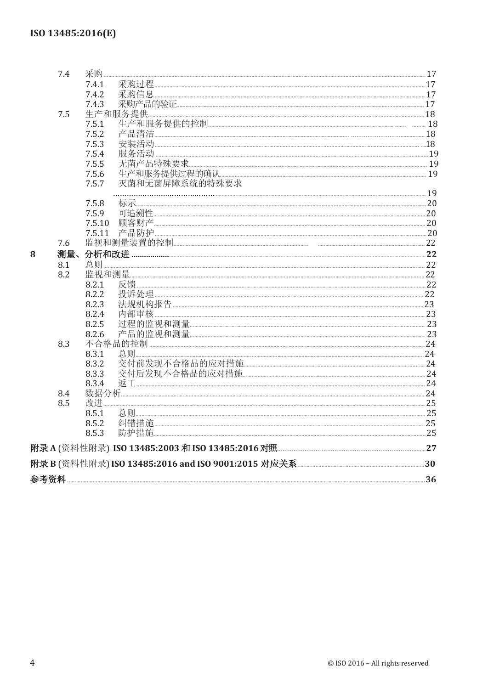|   | 7.4 | 采购     |                |  |
|---|-----|--------|----------------|--|
|   |     | 7.4.1  |                |  |
|   |     | 7.4.2  |                |  |
|   |     | 7.4.3  |                |  |
|   | 7.5 |        | 生产和服务提供        |  |
|   |     | 7.5.1  |                |  |
|   |     | 7.5.2  |                |  |
|   |     | 7.5.3  |                |  |
|   |     | 7.5.4  | 服务活动           |  |
|   |     | 7.5.5  |                |  |
|   |     | 7.5.6  |                |  |
|   |     | 7.5.7  | 灭菌和无菌屏障系统的特殊要求 |  |
|   |     |        |                |  |
|   |     | 7.5.8  |                |  |
|   |     | 7.5.9  |                |  |
|   |     | 7.5.10 |                |  |
|   |     | 7.5.11 |                |  |
|   | 7.6 |        |                |  |
| 8 | 测量、 |        |                |  |
|   | 8.1 | 总则     |                |  |
|   | 8.2 | 监视和测量  |                |  |
|   |     | 8.2.1  |                |  |
|   |     | 8.2.2  |                |  |
|   |     | 8.2.3  |                |  |
|   |     | 8.2.4  | 内部审核           |  |
|   |     | 8.2.5  |                |  |
|   |     | 8.2.6  |                |  |
|   | 8.3 |        |                |  |
|   |     | 8.3.1  |                |  |
|   |     | 8.3.2  |                |  |
|   |     | 8.3.3  |                |  |
|   |     | 8.3.4  |                |  |
|   | 8.4 |        |                |  |
|   | 8.5 | 改进     |                |  |
|   |     | 8.5.1  |                |  |
|   |     | 8.5.2  |                |  |
|   |     | 8.5.3  |                |  |
|   |     |        |                |  |
|   |     |        |                |  |
|   |     |        |                |  |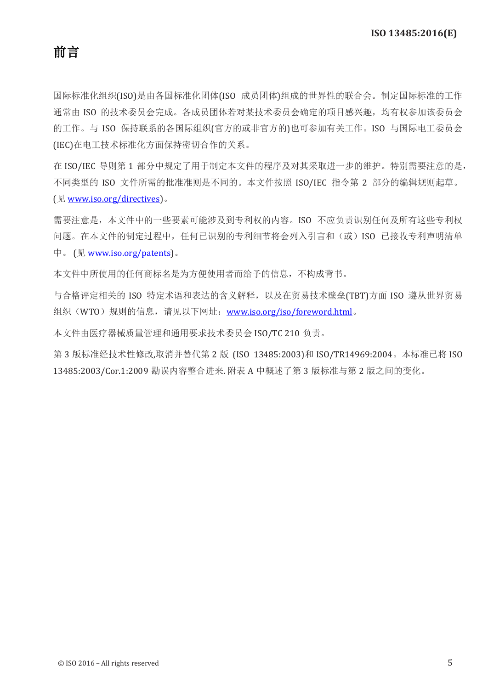国际标准化组织(ISO)是由各国标准化团体(ISO 成员团体)组成的世界性的联合会。制定国际标准的工作 通常由 ISO 的技术委员会完成。各成员团体若对某技术委员会确定的项目感兴趣,均有权参加该委员会 的工作。与 ISO 保持联系的各国际组织(官方的或非官方的)也可参加有关工作。ISO 与国际电工委员会 (IEC)在电工技术标准化方面保持密切合作的关系。

在 ISO/IEC 导则第 1 部分中规定了用于制定本文件的程序及对其采取进一步的维护。特别需要注意的是, 不同类型的 ISO 文件所需的批准准则是不同的。本文件按照 ISO/IEC 指令第 2 部分的编辑规则起草。 (见 [www.iso.org/directives\)](http://www.iso.org/directives)。

需要注意是,本文件中的一些要素可能涉及到专利权的内容。ISO 不应负责识别任何及所有这些专利权 问题。在本文件的制定过程中,任何已识别的专利细节将会列入引言和(或)ISO 已接收专利声明清单 中。 (见 [www.iso.org/patents\)](http://www.iso.org/patents)。

本文件中所使用的任何商标名是为方便使用者而给予的信息,不构成背书。

与合格评定相关的 ISO 特定术语和表达的含义解释,以及在贸易技术壁垒(TBT)方面 ISO 遵从世界贸易 组织(WTO)规则的信息,请见以下网址: [www.iso.org/iso/foreword.html](http://www.iso.org/iso/foreword.html)。

本文件由医疗器械质量管理和通用要求技术委员会 ISO/TC 210 负责。

第 3 版标准经技术性修改,取消并替代第 2 版 (ISO 13485:2003)和 ISO/TR14969:2004。本标准已将 ISO 13485:2003/Cor.1:2009 勘误内容整合进来. 附表 A 中概述了第 3 版标准与第 2 版之间的变化。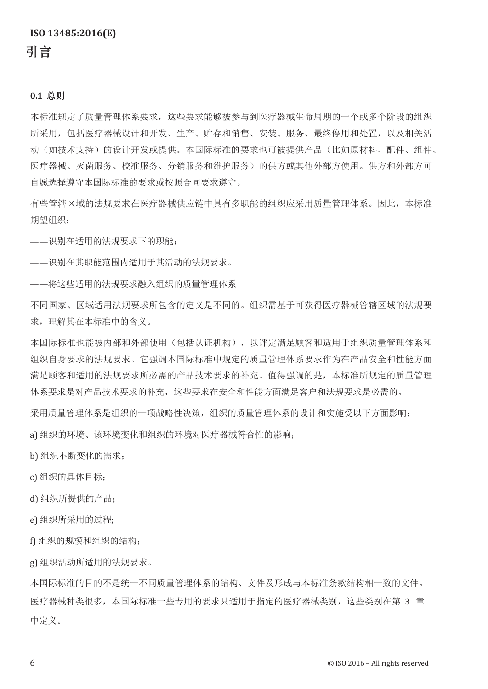#### **0.1** 总则

本标准规定了质量管理体系要求,这些要求能够被参与到医疗器械生命周期的一个或多个阶段的组织 所采用,包括医疗器械设计和开发、生产、贮存和销售、安装、服务、最终停用和处置,以及相关活 动(如技术支持)的设计开发或提供。本国际标准的要求也可被提供产品(比如原材料、配件、组件、 医疗器械、灭菌服务、校准服务、分销服务和维护服务)的供方或其他外部方使用。供方和外部方可 自愿选择遵守本国际标准的要求或按照合同要求遵守。

有些管辖区域的法规要求在医疗器械供应链中具有多职能的组织应采用质量管理体系。因此,本标准 期望组织:

——识别在适用的法规要求下的职能;

——识别在其职能范围内适用于其活动的法规要求。

——将这些适用的法规要求融入组织的质量管理体系

不同国家、区域适用法规要求所包含的定义是不同的。组织需基于可获得医疗器械管辖区域的法规要 求,理解其在本标准中的含义。

本国际标准也能被内部和外部使用(包括认证机构),以评定满足顾客和适用于组织质量管理体系和 组织自身要求的法规要求。它强调本国际标准中规定的质量管理体系要求作为在产品安全和性能方面 满足顾客和适用的法规要求所必需的产品技术要求的补充。值得强调的是,本标准所规定的质量管理 体系要求是对产品技术要求的补充,这些要求在安全和性能方面满足客户和法规要求是必需的。

采用质量管理体系是组织的一项战略性决策,组织的质量管理体系的设计和实施受以下方面影响:

a) 组织的环境、该环境变化和组织的环境对医疗器械符合性的影响;

b) 组织不断变化的需求;

c) 组织的具体目标;

d) 组织所提供的产品;

e) 组织所采用的过程;

f) 组织的规模和组织的结构;

g) 组织活动所适用的法规要求。

本国际标准的目的不是统一不同质量管理体系的结构、文件及形成与本标准条款结构相一致的文件。 医疗器械种类很多,本国际标准一些专用的要求只适用于指定的医疗器械类别,这些类别在第 3 章 中定义。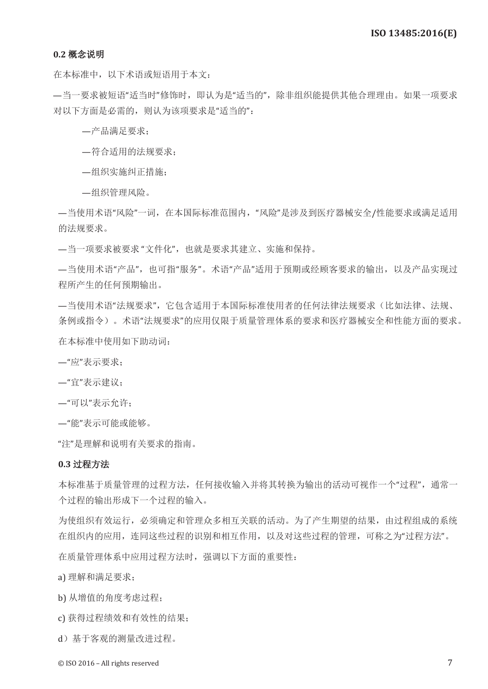#### **0.2** 概念说明

在本标准中,以下术语或短语用于本文:

—当一要求被短语"适当时"修饰时,即认为是"适当的",除非组织能提供其他合理理由。如果一项要求 对以下方面是必需的,则认为该项要求是"适当的":

—产品满足要求;

—符合适用的法规要求;

—组织实施纠正措施;

—组织管理风险。

—当使用术语"风险"一词,在本国际标准范围内,"风险"是涉及到医疗器械安全/性能要求或满足适用 的法规要求。

—当一项要求被要求 "文件化",也就是要求其建立、实施和保持。

—当使用术语"产品",也可指"服务"。术语"产品"适用于预期或经顾客要求的输出,以及产品实现过 程所产生的任何预期输出。

—当使用术语"法规要求",它包含适用于本国际标准使用者的任何法律法规要求(比如法律、法规、 条例或指令)。术语"法规要求"的应用仅限于质量管理体系的要求和医疗器械安全和性能方面的要求。 在本标准中使用如下助动词:

—"应"表示要求;

—"宜"表示建议;

—"可以"表示允许;

—"能"表示可能或能够。

"注"是理解和说明有关要求的指南。

#### **0.3** 过程方法

本标准基于质量管理的过程方法,任何接收输入并将其转换为输出的活动可视作一个"过程",通常一 个过程的输出形成下一个过程的输入。

为使组织有效运行,必须确定和管理众多相互关联的活动。为了产生期望的结果,由过程组成的系统 在组织内的应用,连同这些过程的识别和相互作用,以及对这些过程的管理,可称之为"过程方法"。

在质量管理体系中应用过程方法时,强调以下方面的重要性:

a) 理解和满足要求;

b) 从增值的角度考虑过程;

c) 获得过程绩效和有效性的结果;

d)基于客观的测量改进过程。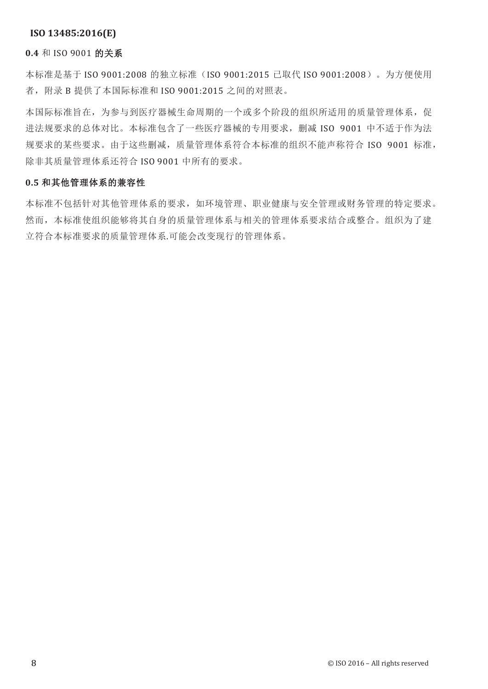#### **0.4** 和 ISO 9001 的关系

本标准是基于 ISO 9001:2008 的独立标准 (ISO 9001:2015 已取代 ISO 9001:2008)。为方便使用 者,附录 B 提供了本国际标准和 ISO 9001:2015 之间的对照表。

本国际标准旨在,为参与到医疗器械生命周期的一个或多个阶段的组织所适用的质量管理体系,促 进法规要求的总体对比。本标准包含了一些医疗器械的专用要求,删减 ISO 9001 中不适于作为法 规要求的某些要求。由于这些删减,质量管理体系符合本标准的组织不能声称符合 ISO 9001 标准, 除非其质量管理体系还符合 ISO 9001 中所有的要求。

#### **0.5** 和其他管理体系的兼容性

本标准不包括针对其他管理体系的要求,如环境管理、职业健康与安全管理或财务管理的特定要求。 然而,本标准使组织能够将其自身的质量管理体系与相关的管理体系要求结合或整合。组织为了建 立符合本标准要求的质量管理体系.可能会改变现行的管理体系。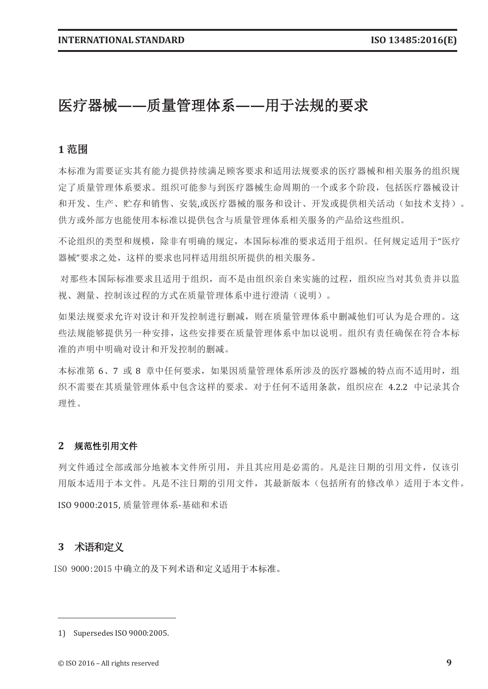# 医疗器械**——**质量管理体系**——**用于法规的要求

# **1** 范围

本标准为需要证实其有能力提供持续满足顾客要求和适用法规要求的医疗器械和相关服务的组织规 定了质量管理体系要求。组织可能参与到医疗器械生命周期的一个或多个阶段,包括医疗器械设计 和开发、生产、贮存和销售、安装,或医疗器械的服务和设计、开发或提供相关活动(如技术支持)。 供方或外部方也能使用本标准以提供包含与质量管理体系相关服务的产品给这些组织。

不论组织的类型和规模,除非有明确的规定,本国际标准的要求适用于组织。任何规定适用于"医疗 器械"要求之处,这样的要求也同样适用组织所提供的相关服务。

对那些本国际标准要求且适用于组织,而不是由组织亲自来实施的过程,组织应当对其负责并以监 视、测量、控制该过程的方式在质量管理体系中进行澄清(说明)。

如果法规要求允许对设计和开发控制进行删减,则在质量管理体系中删减他们可认为是合理的。这 些法规能够提供另一种安排,这些安排要在质量管理体系中加以说明。组织有责任确保在符合本标 准的声明中明确对设计和开发控制的删减。

本标准第 6、7 或 8 章中任何要求, 如果因质量管理体系所涉及的医疗器械的特点而不适用时, 组 织不需要在其质量管理体系中包含这样的要求。对于任何不适用条款,组织应在 4.2.2 中记录其合 理性。

#### **2** 规范性引用文件

列文件通过全部或部分地被本文件所引用,并且其应用是必需的。凡是注日期的引用文件,仅该引 用版本适用于本文件。凡是不注日期的引用文件,其最新版本(包括所有的修改单)适用于本文件。 ISO 9000:2015, 质量管理体系-基础和术语

### **3** 术语和定义

ISO 9000:2015 中确立的及下列术语和定义适用于本标准。

<sup>1)</sup> Supersedes ISO 9000:2005.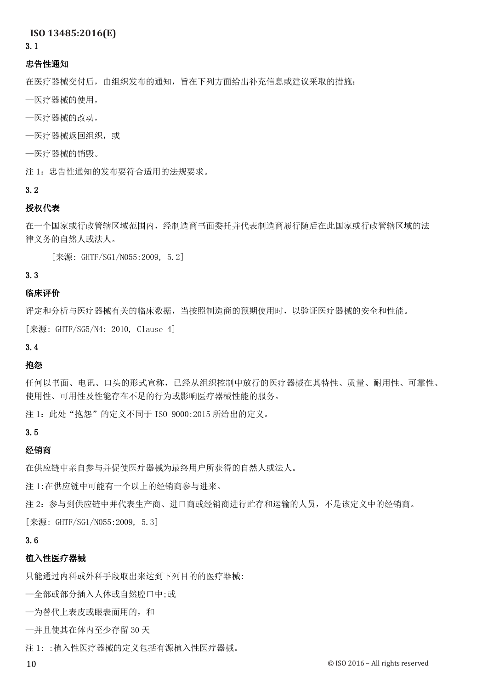#### 3.1

#### 忠告性通知

在医疗器械交付后,由组织发布的通知,旨在下列方面给出补充信息或建议采取的措施:

- —医疗器械的使用,
- —医疗器械的改动,
- —医疗器械返回组织,或
- —医疗器械的销毁。

注 1: 忠告性通知的发布要符合适用的法规要求。

### 3.2

# 授权代表

在一个国家或行政管辖区域范围内,经制造商书面委托并代表制造商履行随后在此国家或行政管辖区域的法 律义务的自然人或法人。

[来源: GHTF/SG1/N055:2009, 5.2]

# 3.3

# 临床评价

评定和分析与医疗器械有关的临床数据,当按照制造商的预期使用时,以验证医疗器械的安全和性能。

[来源: GHTF/SG5/N4: 2010, Clause 4]

# 3.4

### 抱怨

任何以书面、电讯、口头的形式宣称,已经从组织控制中放行的医疗器械在其特性、质量、耐用性、可靠性、 使用性、可用性及性能存在不足的行为或影响医疗器械性能的服务。

注 1: 此处"抱怨"的定义不同于 ISO 9000:2015 所给出的定义。

### 3.5

### 经销商

在供应链中亲自参与并促使医疗器械为最终用户所获得的自然人或法人。

注 1:在供应链中可能有一个以上的经销商参与进来。

注 2:参与到供应链中并代表生产商、进口商或经销商进行贮存和运输的人员,不是该定义中的经销商。 [来源: GHTF/SG1/N055:2009, 5.3]

### 3.6

# 植入性医疗器械

只能通过内科或外科手段取出来达到下列目的的医疗器械:

—全部或部分插入人体或自然腔口中;或

—为替代上表皮或眼表面用的,和

—并且使其在体内至少存留 30 天

注 1: :植入性医疗器械的定义包括有源植入性医疗器械。

10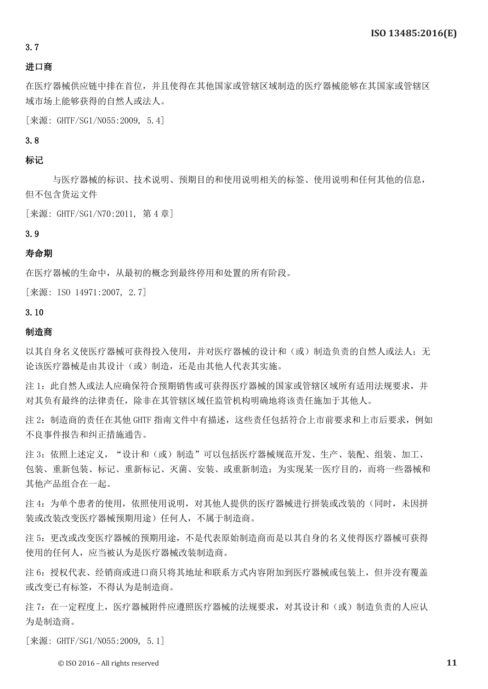#### 3.7

#### 进口商

在医疗器械供应链中排在首位,并且使得在其他国家或管辖区域制造的医疗器械能够在其国家或管辖区 域市场上能够获得的自然人或法人。

[来源: GHTF/SG1/N055:2009, 5.4]

3.8

# 标记

 与医疗器械的标识、技术说明、预期目的和使用说明相关的标签、使用说明和任何其他的信息, 但不包含货运文件

[来源: GHTF/SG1/N70:2011, 第 4 章]

#### 3.9

#### 寿命期

在医疗器械的生命中,从最初的概念到最终停用和处置的所有阶段。

[来源: ISO 14971:2007, 2.7]

#### 3.10

#### 制造商

以其自身名义使医疗器械可获得投入使用,并对医疗器械的设计和(或)制造负责的自然人或法人;无 论该医疗器械是由其设计(或)制造,还是由其他人代表其实施。

注 1: 此自然人或法人应确保符合预期销售或可获得医疗器械的国家或管辖区域所有适用法规要求,并 对其负有最终的法律责任,除非在其管辖区域任监管机构明确地将该责任施加于其他人。

注 2: 制造商的责任在其他 GHTF 指南文件中有描述,这些责任包括符合上市前要求和上市后要求,例如 不良事件报告和纠正措施通告。

注 3: 依照上述定义, "设计和(或)制造"可以包括医疗器械规范开发、生产、装配、组装、加工、 包装、重新包装、标记、重新标记、灭菌、安装、或重新制造;为实现某一医疗目的,而将一些器械和 其他产品组合在一起。

注 4: 为单个患者的使用,依照使用说明, 对其他人提供的医疗器械进行拼装或改装的(同时, 未因拼 装或改装改变医疗器械预期用途)任何人,不属于制造商。

注 5: 更改或改变医疗器械的预期用途,不是代表原始制造商而是以其自身的名义使得医疗器械可获得 使用的任何人,应当被认为是医疗器械改装制造商。

注 6: 授权代表、经销商或进口商只将其地址和联系方式内容附加到医疗器械或包装上,但并没有覆盖 或改变已有标签,不得认为是制造商。

注 7: 在一定程度上, 医疗器械附件应遵照医疗器械的法规要求, 对其设计和(或)制造负责的人应认 为是制造商。

[来源: GHTF/SG1/N055:2009, 5.1]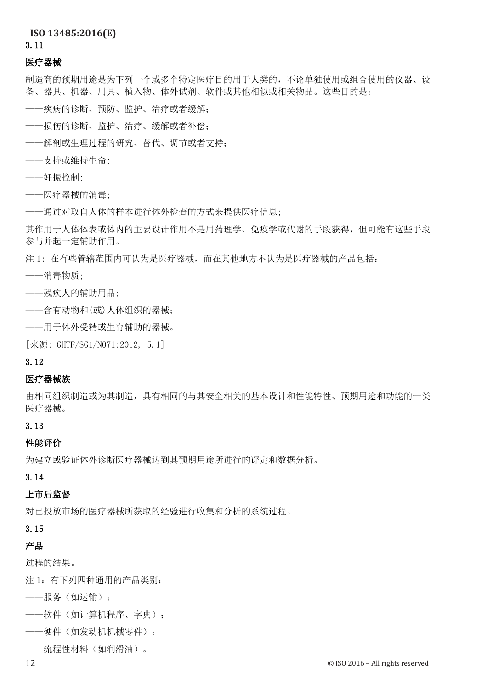### 3.11

#### 医疗器械

制造商的预期用途是为下列一个或多个特定医疗目的用于人类的,不论单独使用或组合使用的仪器、设 备、器具、机器、用具、植入物、体外试剂、软件或其他相似或相关物品。这些目的是:

- ——疾病的诊断、预防、监护、治疗或者缓解;
- ——损伤的诊断、监护、治疗、缓解或者补偿;
- ——解剖或生理过程的研究、替代、调节或者支持;
- ——支持或维持生命;
- ——妊振控制;
- ——医疗器械的消毒;
- ——通过对取自人体的样本进行体外检查的方式来提供医疗信息;

其作用于人体体表或体内的主要设计作用不是用药理学、免疫学或代谢的手段获得,但可能有这些手段 参与并起一定辅助作用。

注 1: 在有些管辖范围内可认为是医疗器械,而在其他地方不认为是医疗器械的产品包括:

——消毒物质;

——残疾人的辅助用品;

- ——含有动物和(或)人体组织的器械;
- ——用于体外受精或生育辅助的器械。

[来源: GHTF/SG1/N071:2012, 5.1]

#### 3.12

### 医疗器械族

由相同组织制造或为其制造,具有相同的与其安全相关的基本设计和性能特性、预期用途和功能的一类 医疗器械。

# 3.13

#### 性能评价

为建立或验证体外诊断医疗器械达到其预期用途所进行的评定和数据分析。

# 3.14

# 上市后监督

对已投放市场的医疗器械所获取的经验进行收集和分析的系统过程。

# 3.15

# 产品

过程的结果。

注 1: 有下列四种通用的产品类别;

——服务(如运输);

- ——软件(如计算机程序、字典);
- ——硬件(如发动机机械零件);
- ——流程性材料(如润滑油)。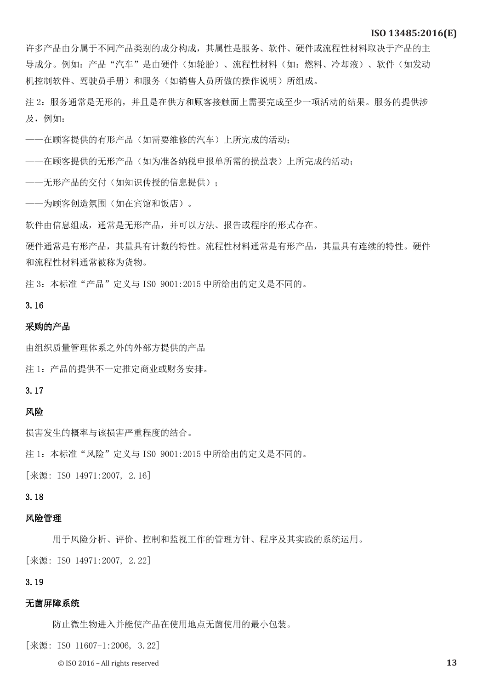许多产品由分属于不同产品类别的成分构成,其属性是服务、软件、硬件或流程性材料取决于产品的主 导成分。例如: 产品"汽车"是由硬件(如轮胎)、流程性材料(如:燃料、冷却液)、软件(如发动 机控制软件、驾驶员手册)和服务(如销售人员所做的操作说明)所组成。

注 2: 服务通常是无形的,并且是在供方和顾客接触面上需要完成至少一项活动的结果。服务的提供涉 及,例如:

——在顾客提供的有形产品(如需要维修的汽车)上所完成的活动;

——在顾客提供的无形产品(如为准备纳税申报单所需的损益表)上所完成的活动;

——无形产品的交付(如知识传授的信息提供);

——为顾客创造氛围(如在宾馆和饭店)。

软件由信息组成,通常是无形产品,并可以方法、报告或程序的形式存在。

硬件通常是有形产品,其量具有计数的特性。流程性材料通常是有形产品,其量具有连续的特性。硬件 和流程性材料通常被称为货物。

注 3: 本标准"产品"定义与 IS0 9001:2015 中所给出的定义是不同的。

#### 3.16

#### 采购的产品

由组织质量管理体系之外的外部方提供的产品

注 1: 产品的提供不一定推定商业或财务安排。

#### 3.17

#### 风险

损害发生的概率与该损害严重程度的结合。

注 1: 本标准"风险"定义与 IS0 9001:2015 中所给出的定义是不同的。

[来源: ISO 14971:2007, 2.16]

# 3.18

#### 风险管理

用于风险分析、评价、控制和监视工作的管理方针、程序及其实践的系统运用。

[来源: ISO 14971:2007, 2.22]

#### 3.19

#### 无菌屏障系统

防止微生物进入并能使产品在使用地点无菌使用的最小包装。

[来源: ISO 11607-1:2006, 3.22]

© ISO 2016 – All rights reserved **13**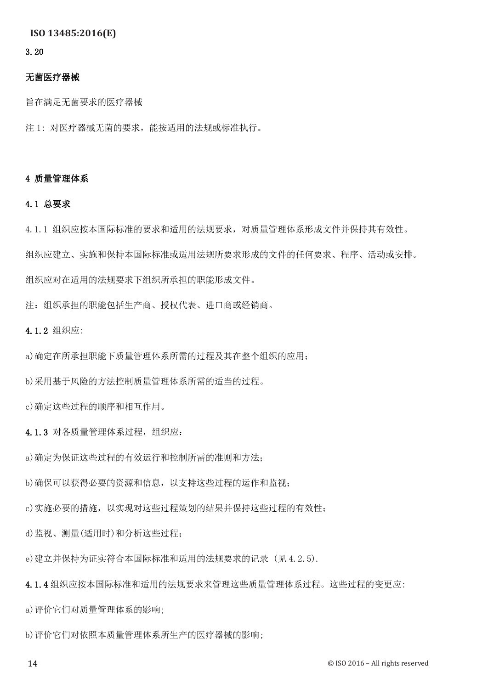#### 3.20

### 无菌医疗器械

旨在满足无菌要求的医疗器械

注 1: 对医疗器械无菌的要求,能按适用的法规或标准执行。

#### 4 质量管理体系

# 4.1 总要求

4.1.1 组织应按本国际标准的要求和适用的法规要求,对质量管理体系形成文件并保持其有效性。

组织应建立、实施和保持本国际标准或适用法规所要求形成的文件的任何要求、程序、活动或安排。

组织应对在适用的法规要求下组织所承担的职能形成文件。

注:组织承担的职能包括生产商、授权代表、进口商或经销商。

4.1.2 组织应:

a)确定在所承担职能下质量管理体系所需的过程及其在整个组织的应用;

b)采用基于风险的方法控制质量管理体系所需的适当的过程。

c)确定这些过程的顺序和相互作用。

4.1.3 对各质量管理体系过程,组织应:

a)确定为保证这些过程的有效运行和控制所需的准则和方法;

b)确保可以获得必要的资源和信息,以支持这些过程的运作和监视;

c)实施必要的措施,以实现对这些过程策划的结果并保持这些过程的有效性;

d)监视、测量(适用时)和分析这些过程;

e)建立并保持为证实符合本国际标准和适用的法规要求的记录 (见 4.2.5).

4.1.4 组织应按本国际标准和适用的法规要求来管理这些质量管理体系过程。这些过程的变更应:

a)评价它们对质量管理体系的影响;

b)评价它们对依照本质量管理体系所生产的医疗器械的影响;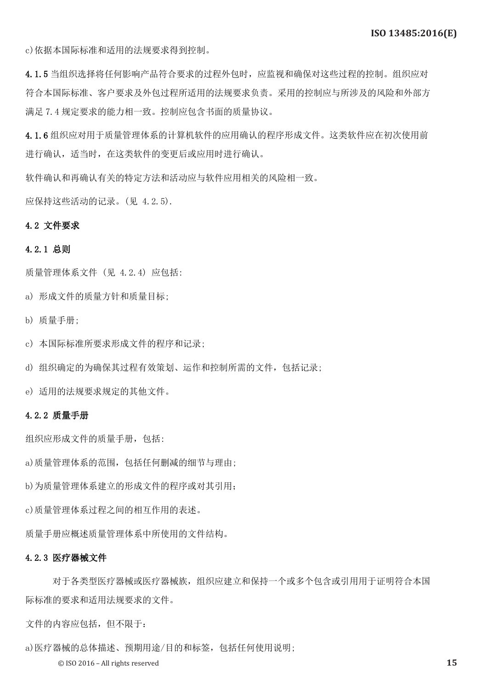c)依据本国际标准和适用的法规要求得到控制。

4.1.5 当组织选择将任何影响产品符合要求的过程外包时,应监视和确保对这些过程的控制。组织应对 符合本国际标准、客户要求及外包过程所适用的法规要求负责。采用的控制应与所涉及的风险和外部方 满足 7.4 规定要求的能力相一致。控制应包含书面的质量协议。

4.1.6 组织应对用于质量管理体系的计算机软件的应用确认的程序形成文件。这类软件应在初次使用前 进行确认,适当时,在这类软件的变更后或应用时进行确认。

软件确认和再确认有关的特定方法和活动应与软件应用相关的风险相一致。

应保持这些活动的记录。(见 4.2.5).

#### 4.2 文件要求

#### 4.2.1 总则

质量管理体系文件 (见 4.2.4) 应包括:

- a) 形成文件的质量方针和质量目标;
- b) 质量手册;
- c) 本国际标准所要求形成文件的程序和记录;
- d) 组织确定的为确保其过程有效策划、运作和控制所需的文件,包括记录;
- e) 适用的法规要求规定的其他文件。

#### 4.2.2 质量手册

组织应形成文件的质量手册,包括:

a)质量管理体系的范围,包括任何删减的细节与理由;

b)为质量管理体系建立的形成文件的程序或对其引用;

c)质量管理体系过程之间的相互作用的表述。

质量手册应概述质量管理体系中所使用的文件结构。

#### 4.2.3 医疗器械文件

 对于各类型医疗器械或医疗器械族,组织应建立和保持一个或多个包含或引用用于证明符合本国 际标准的要求和适用法规要求的文件。

文件的内容应包括,但不限于:

a)医疗器械的总体描述、预期用途/目的和标签,包括任何使用说明;

© ISO 2016 – All rights reserved **15**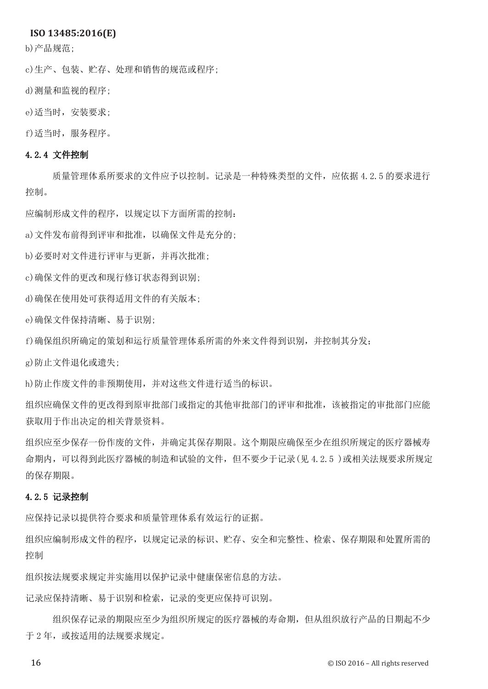b)产品规范;

c)生产、包装、贮存、处理和销售的规范或程序;

d)测量和监视的程序;

e)适当时,安装要求;

f)适当时,服务程序。

#### 4.2.4 文件控制

质量管理体系所要求的文件应予以控制。记录是一种特殊类型的文件,应依据 4.2.5 的要求进行 控制。

应编制形成文件的程序,以规定以下方面所需的控制:

a)文件发布前得到评审和批准,以确保文件是充分的;

b)必要时对文件进行评审与更新,并再次批准;

c)确保文件的更改和现行修订状态得到识别;

d)确保在使用处可获得适用文件的有关版本;

e)确保文件保持清晰、易于识别;

f)确保组织所确定的策划和运行质量管理体系所需的外来文件得到识别,并控制其分发;

g)防止文件退化或遗失;

h)防止作废文件的非预期使用,并对这些文件进行适当的标识。

组织应确保文件的更改得到原审批部门或指定的其他审批部门的评审和批准,该被指定的审批部门应能 获取用于作出决定的相关背景资料。

组织应至少保存一份作废的文件,并确定其保存期限。这个期限应确保至少在组织所规定的医疗器械寿 命期内,可以得到此医疗器械的制造和试验的文件,但不要少于记录(见 4.2.5 )或相关法规要求所规定 的保存期限。

#### 4.2.5 记录控制

应保持记录以提供符合要求和质量管理体系有效运行的证据。

组织应编制形成文件的程序,以规定记录的标识、贮存、安全和完整性、检索、保存期限和处置所需的 控制

组织按法规要求规定并实施用以保护记录中健康保密信息的方法。

记录应保持清晰、易于识别和检索,记录的变更应保持可识别。

 组织保存记录的期限应至少为组织所规定的医疗器械的寿命期,但从组织放行产品的日期起不少 于 2 年, 或按适用的法规要求规定。

16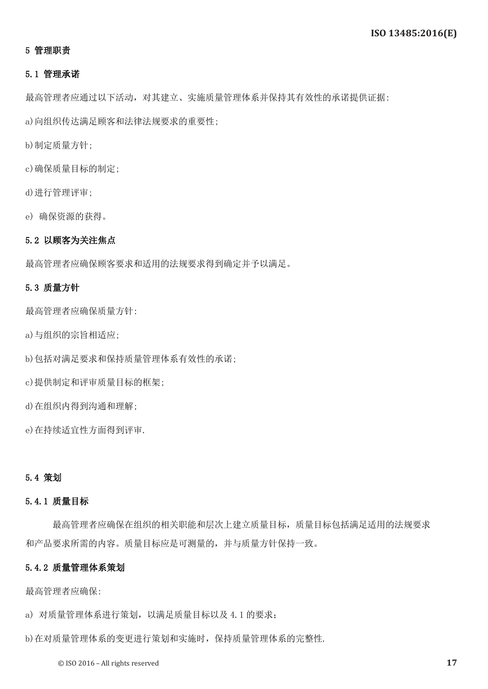### 5 管理职责

#### 5.1 管理承诺

最高管理者应通过以下活动,对其建立、实施质量管理体系并保持其有效性的承诺提供证据:

a)向组织传达满足顾客和法律法规要求的重要性;

b)制定质量方针;

c)确保质量目标的制定;

d)进行管理评审;

e) 确保资源的获得。

### 5.2 以顾客为关注焦点

最高管理者应确保顾客要求和适用的法规要求得到确定并予以满足。

#### 5.3 质量方针

最高管理者应确保质量方针:

a)与组织的宗旨相适应;

b)包括对满足要求和保持质量管理体系有效性的承诺;

c)提供制定和评审质量目标的框架;

d)在组织内得到沟通和理解;

e)在持续适宜性方面得到评审.

## 5.4 策划

#### 5.4.1 质量目标

 最高管理者应确保在组织的相关职能和层次上建立质量目标,质量目标包括满足适用的法规要求 和产品要求所需的内容。质量目标应是可测量的,并与质量方针保持一致。

#### 5.4.2 质量管理体系策划

最高管理者应确保:

a) 对质量管理体系进行策划,以满足质量目标以及 4.1 的要求;

b)在对质量管理体系的变更进行策划和实施时,保持质量管理体系的完整性.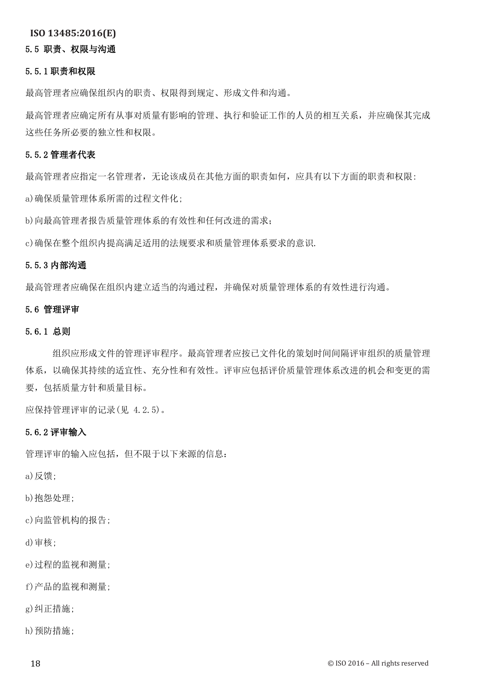## 5.5 职责、权限与沟通

#### 5.5.1 职责和权限

最高管理者应确保组织内的职责、权限得到规定、形成文件和沟通。

最高管理者应确定所有从事对质量有影响的管理、执行和验证工作的人员的相互关系,并应确保其完成 这些任务所必要的独立性和权限。

#### 5.5.2 管理者代表

最高管理者应指定一名管理者,无论该成员在其他方面的职责如何,应具有以下方面的职责和权限: a)确保质量管理体系所需的过程文件化;

b)向最高管理者报告质量管理体系的有效性和任何改进的需求;

c)确保在整个组织内提高满足适用的法规要求和质量管理体系要求的意识.

#### 5.5.3 内部沟通

最高管理者应确保在组织内建立适当的沟通过程,并确保对质量管理体系的有效性进行沟通。

#### 5.6 管理评审

#### 5.6.1 总则

 组织应形成文件的管理评审程序。最高管理者应按已文件化的策划时间间隔评审组织的质量管理 体系,以确保其持续的适宜性、充分性和有效性。评审应包括评价质量管理体系改进的机会和变更的需 要,包括质量方针和质量目标。

应保持管理评审的记录(见 4.2.5)。

#### 5.6.2 评审输入

管理评审的输入应包括,但不限于以下来源的信息:

a)反馈;

b)抱怨处理;

c)向监管机构的报告;

d)审核;

e)过程的监视和测量;

f)产品的监视和测量;

g)纠正措施;

h)预防措施;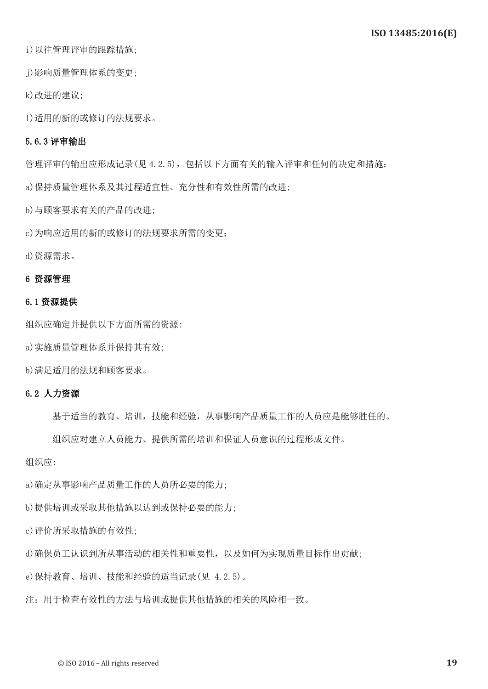i)以往管理评审的跟踪措施;

j)影响质量管理体系的变更;

k)改进的建议;

l)适用的新的或修订的法规要求。

# 5.6.3 评审输出

管理评审的输出应形成记录(见 4.2.5),包括以下方面有关的输入评审和任何的决定和措施:

a)保持质量管理体系及其过程适宜性、充分性和有效性所需的改进;

b)与顾客要求有关的产品的改进;

c)为响应适用的新的或修订的法规要求所需的变更;

d)资源需求。

#### 6 资源管理

#### 6.1 资源提供

组织应确定并提供以下方面所需的资源:

a)实施质量管理体系并保持其有效;

b)满足适用的法规和顾客要求。

#### 6.2 人力资源

基于适当的教育、培训,技能和经验,从事影响产品质量工作的人员应是能够胜任的。

组织应对建立人员能力、提供所需的培训和保证人员意识的过程形成文件。

组织应:

a)确定从事影响产品质量工作的人员所必要的能力;

b)提供培训或采取其他措施以达到或保持必要的能力;

c)评价所采取措施的有效性;

d)确保员工认识到所从事活动的相关性和重要性,以及如何为实现质量目标作出贡献;

e)保持教育、培训、技能和经验的适当记录(见 4.2.5)。

注:用于检查有效性的方法与培训或提供其他措施的相关的风险相一致。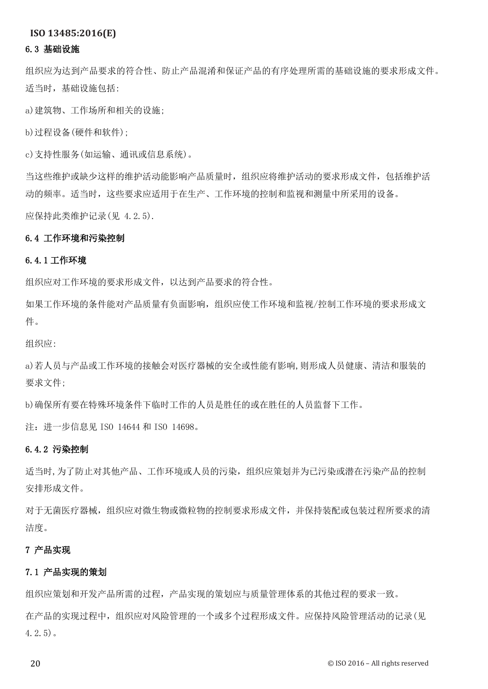#### 6.3 基础设施

组织应为达到产品要求的符合性、防止产品混淆和保证产品的有序处理所需的基础设施的要求形成文件。 适当时,基础设施包括:

a)建筑物、工作场所和相关的设施;

b)过程设备(硬件和软件);

c)支持性服务(如运输、通讯或信息系统)。

当这些维护或缺少这样的维护活动能影响产品质量时,组织应将维护活动的要求形成文件,包括维护活 动的频率。适当时,这些要求应适用于在生产、工作环境的控制和监视和测量中所采用的设备。

应保持此类维护记录(见 4.2.5).

#### 6.4 工作环境和污染控制

#### 6.4.1 工作环境

组织应对工作环境的要求形成文件,以达到产品要求的符合性。

如果工作环境的条件能对产品质量有负面影响,组织应使工作环境和监视/控制工作环境的要求形成文 件。

组织应:

a)若人员与产品或工作环境的接触会对医疗器械的安全或性能有影响,则形成人员健康、清洁和服装的 要求文件;

b)确保所有要在特殊环境条件下临时工作的人员是胜任的或在胜任的人员监督下工作。

注:进一步信息见 ISO 14644 和 ISO 14698。

#### 6.4.2 污染控制

适当时,为了防止对其他产品、工作环境或人员的污染,组织应策划并为已污染或潜在污染产品的控制 安排形成文件。

对于无菌医疗器械,组织应对微生物或微粒物的控制要求形成文件,并保持装配或包装过程所要求的清 洁度。

#### 7 产品实现

#### 7.1 产品实现的策划

组织应策划和开发产品所需的过程,产品实现的策划应与质量管理体系的其他过程的要求一致。

在产品的实现过程中,组织应对风险管理的一个或多个过程形成文件。应保持风险管理活动的记录(见 4.2.5)。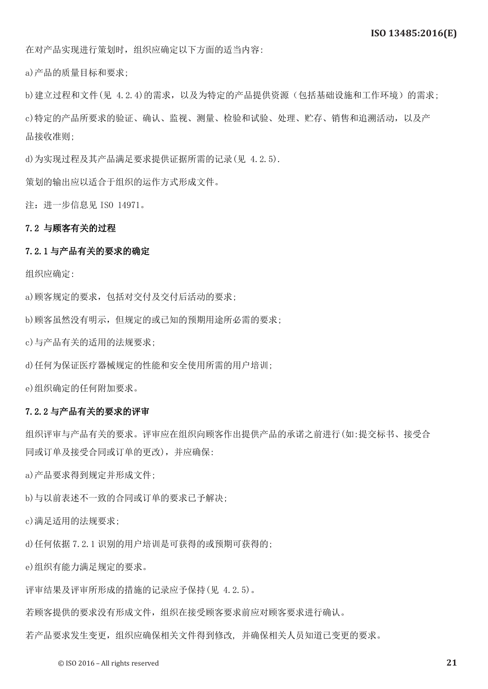在对产品实现进行策划时,组织应确定以下方面的适当内容:

a)产品的质量目标和要求;

b)建立过程和文件(见 4.2.4)的需求,以及为特定的产品提供资源(包括基础设施和工作环境)的需求; c)特定的产品所要求的验证、确认、监视、测量、检验和试验、处理、贮存、销售和追溯活动,以及产 品接收准则;

d)为实现过程及其产品满足要求提供证据所需的记录(见 4.2.5).

策划的输出应以适合于组织的运作方式形成文件。

注:进一步信息见 ISO 14971。

#### 7.2 与顾客有关的过程

#### 7.2.1 与产品有关的要求的确定

组织应确定:

a)顾客规定的要求,包括对交付及交付后活动的要求;

b)顾客虽然没有明示,但规定的或已知的预期用途所必需的要求;

c)与产品有关的适用的法规要求;

d)任何为保证医疗器械规定的性能和安全使用所需的用户培训;

e)组织确定的任何附加要求。

#### 7.2.2 与产品有关的要求的评审

组织评审与产品有关的要求。评审应在组织向顾客作出提供产品的承诺之前进行(如:提交标书、接受合 同或订单及接受合同或订单的更改),并应确保:

a)产品要求得到规定并形成文件;

b)与以前表述不一致的合同或订单的要求已予解决;

c)满足适用的法规要求;

d)任何依据 7.2.1 识别的用户培训是可获得的或预期可获得的;

e)组织有能力满足规定的要求。

评审结果及评审所形成的措施的记录应予保持(见 4.2.5)。

若顾客提供的要求没有形成文件,组织在接受顾客要求前应对顾客要求进行确认。

若产品要求发生变更,组织应确保相关文件得到修改, 并确保相关人员知道已变更的要求。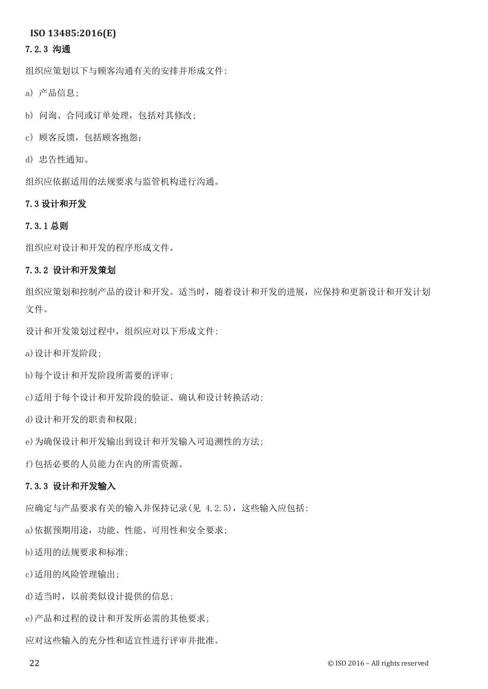#### 7.2.3 沟通

组织应策划以下与顾客沟通有关的安排并形成文件:

a) 产品信息;

- b) 问询、合同或订单处理,包括对其修改;
- c) 顾客反馈,包括顾客抱怨;
- d) 忠告性通知。

组织应依据适用的法规要求与监管机构进行沟通。

### 7.3 设计和开发

#### 7.3.1 总则

组织应对设计和开发的程序形成文件。

#### 7.3.2 设计和开发策划

组织应策划和控制产品的设计和开发。适当时,随着设计和开发的进展,应保持和更新设计和开发计划 文件。

设计和开发策划过程中,组织应对以下形成文件:

a)设计和开发阶段;

b)每个设计和开发阶段所需要的评审;

c)适用于每个设计和开发阶段的验证、确认和设计转换活动;

d)设计和开发的职责和权限;

e)为确保设计和开发输出到设计和开发输入可追溯性的方法;

f)包括必要的人员能力在内的所需资源。

# 7.3.3 设计和开发输入

应确定与产品要求有关的输入并保持记录(见 4.2.5),这些输入应包括:

a) 依据预期用途, 功能、性能、可用性和安全要求;

b)适用的法规要求和标准;

c)适用的风险管理输出;

d)适当时,以前类似设计提供的信息;

e)产品和过程的设计和开发所必需的其他要求;

应对这些输入的充分性和适宜性进行评审并批准。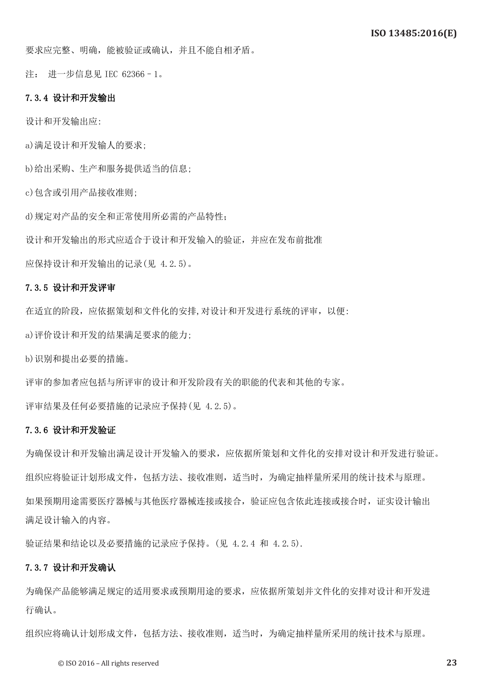要求应完整、明确,能被验证或确认,并且不能自相矛盾。

注: 进一步信息见 IEC 62366–1。

#### 7.3.4 设计和开发输出

设计和开发输出应:

a)满足设计和开发输人的要求;

b)给出采购、生产和服务提供适当的信息;

c)包含或引用产品接收准则;

d)规定对产品的安全和正常使用所必需的产品特性;

设计和开发输出的形式应适合于设计和开发输入的验证,并应在发布前批准

应保持设计和开发输出的记录(见 4.2.5)。

#### 7.3.5 设计和开发评审

在适宜的阶段,应依据策划和文件化的安排,对设计和开发进行系统的评审,以便:

a)评价设计和开发的结果满足要求的能力;

b)识别和提出必要的措施。

评审的参加者应包括与所评审的设计和开发阶段有关的职能的代表和其他的专家。

评审结果及任何必要措施的记录应予保持(见 4.2.5)。

#### 7.3.6 设计和开发验证

为确保设计和开发输出满足设计开发输入的要求,应依据所策划和文件化的安排对设计和开发进行验证。 组织应将验证计划形成文件,包括方法、接收准则,适当时,为确定抽样量所采用的统计技术与原理。 如果预期用途需要医疗器械与其他医疗器械连接或接合,验证应包含依此连接或接合时,证实设计输出 满足设计输入的内容。

验证结果和结论以及必要措施的记录应予保持。(见 4.2.4 和 4.2.5).

#### 7.3.7 设计和开发确认

为确保产品能够满足规定的适用要求或预期用途的要求,应依据所策划并文件化的安排对设计和开发进 行确认。

组织应将确认计划形成文件,包括方法、接收准则,适当时,为确定抽样量所采用的统计技术与原理。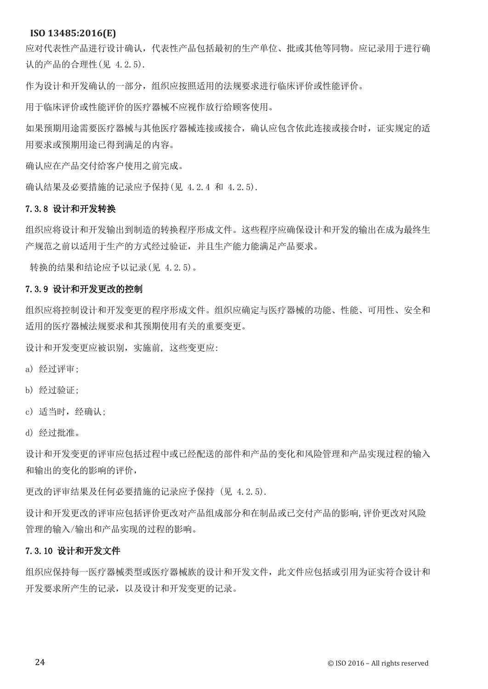应对代表性产品进行设计确认,代表性产品包括最初的生产单位、批或其他等同物。应记录用于进行确 认的产品的合理性(见 4.2.5).

作为设计和开发确认的一部分,组织应按照适用的法规要求进行临床评价或性能评价。

用于临床评价或性能评价的医疗器械不应视作放行给顾客使用。

如果预期用途需要医疗器械与其他医疗器械连接或接合,确认应包含依此连接或接合时,证实规定的适 用要求或预期用途已得到满足的内容。

确认应在产品交付给客户使用之前完成。

确认结果及必要措施的记录应予保持(见 4.2.4 和 4.2.5).

#### 7.3.8 设计和开发转换

组织应将设计和开发输出到制造的转换程序形成文件。这些程序应确保设计和开发的输出在成为最终生 产规范之前以适用于生产的方式经过验证,并且生产能力能满足产品要求。

转换的结果和结论应予以记录(见 4.2.5)。

#### 7.3.9 设计和开发更改的控制

组织应将控制设计和开发变更的程序形成文件。组织应确定与医疗器械的功能、性能、可用性、安全和 适用的医疗器械法规要求和其预期使用有关的重要变更。

设计和开发变更应被识别,实施前, 这些变更应:

a) 经过评审;

b) 经过验证;

c) 适当时,经确认;

d) 经过批准。

设计和开发变更的评审应包括过程中或已经配送的部件和产品的变化和风险管理和产品实现过程的输入 和输出的变化的影响的评价,

更改的评审结果及任何必要措施的记录应予保持 (见 4.2.5).

设计和开发更改的评审应包括评价更改对产品组成部分和在制品或已交付产品的影响,评价更改对风险 管理的输入/输出和产品实现的过程的影响。

#### 7.3.10 设计和开发文件

组织应保持每一医疗器械类型或医疗器械族的设计和开发文件,此文件应包括或引用为证实符合设计和 开发要求所产生的记录,以及设计和开发变更的记录。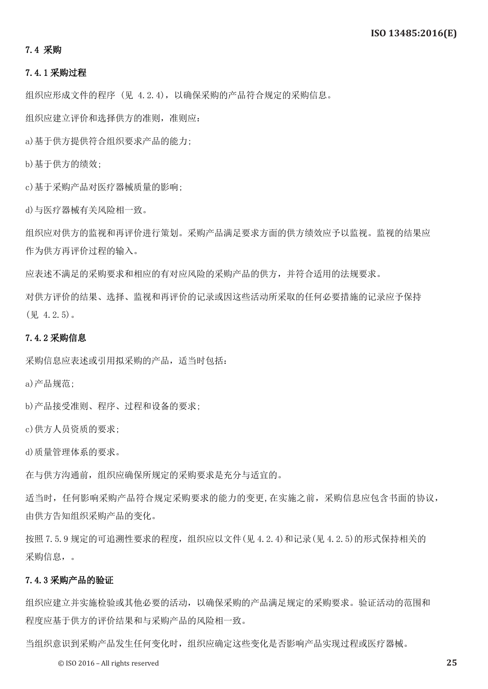#### 7.4 采购

#### 7.4.1 采购过程

组织应形成文件的程序 (见 4.2.4),以确保采购的产品符合规定的采购信息。

组织应建立评价和选择供方的准则,准则应:

a)基于供方提供符合组织要求产品的能力;

b)基于供方的绩效;

c)基于采购产品对医疗器械质量的影响;

d)与医疗器械有关风险相一致。

组织应对供方的监视和再评价进行策划。采购产品满足要求方面的供方绩效应予以监视。监视的结果应 作为供方再评价过程的输入。

应表述不满足的采购要求和相应的有对应风险的采购产品的供方,并符合适用的法规要求。

对供方评价的结果、选择、监视和再评价的记录或因这些活动所采取的任何必要措施的记录应予保持 (见 4.2.5)。

#### 7.4.2 采购信息

采购信息应表述或引用拟采购的产品,适当时包括:

a)产品规范;

b)产品接受准则、程序、过程和设备的要求;

c)供方人员资质的要求;

d)质量管理体系的要求。

在与供方沟通前,组织应确保所规定的采购要求是充分与适宜的。

适当时,任何影响采购产品符合规定采购要求的能力的变更,在实施之前,采购信息应包含书面的协议, 由供方告知组织采购产品的变化。

按照 7.5.9 规定的可追溯性要求的程度,组织应以文件(见 4.2.4)和记录(见 4.2.5)的形式保持相关的 采购信息,。

### 7.4.3 采购产品的验证

组织应建立并实施检验或其他必要的活动,以确保采购的产品满足规定的采购要求。验证活动的范围和 程度应基于供方的评价结果和与采购产品的风险相一致。

当组织意识到采购产品发生任何变化时,组织应确定这些变化是否影响产品实现过程或医疗器械。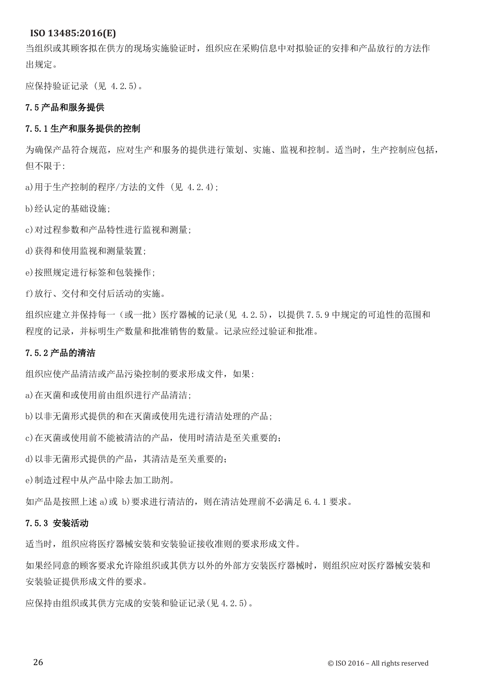当组织或其顾客拟在供方的现场实施验证时,组织应在采购信息中对拟验证的安排和产品放行的方法作 出规定。

应保持验证记录 (见 4.2.5)。

#### 7.5 产品和服务提供

#### 7.5.1 生产和服务提供的控制

为确保产品符合规范,应对生产和服务的提供进行策划、实施、监视和控制。适当时,生产控制应包括, 但不限于:

a)用于生产控制的程序/方法的文件 (见 4.2.4);

b)经认定的基础设施;

c)对过程参数和产品特性进行监视和测量;

d)获得和使用监视和测量装置;

e)按照规定进行标签和包装操作;

f)放行、交付和交付后活动的实施。

组织应建立并保持每一(或一批)医疗器械的记录(见 4.2.5),以提供 7.5.9 中规定的可追性的范围和 程度的记录,并标明生产数量和批准销售的数量。记录应经过验证和批准。

#### 7.5.2 产品的清洁

组织应使产品清洁或产品污染控制的要求形成文件,如果:

a)在灭菌和或使用前由组织进行产品清洁;

b)以非无菌形式提供的和在灭菌或使用先进行清洁处理的产品;

c)在灭菌或使用前不能被清洁的产品,使用时清洁是至关重要的;

d)以非无菌形式提供的产品,其清洁是至关重要的;

e)制造过程中从产品中除去加工助剂。

如产品是按照上述 a)或 b)要求进行清洁的,则在清洁处理前不必满足 6.4.1 要求。

## 7.5.3 安装活动

适当时,组织应将医疗器械安装和安装验证接收准则的要求形成文件。

如果经同意的顾客要求允许除组织或其供方以外的外部方安装医疗器械时,则组织应对医疗器械安装和 安装验证提供形成文件的要求。

应保持由组织或其供方完成的安装和验证记录(见 4.2.5)。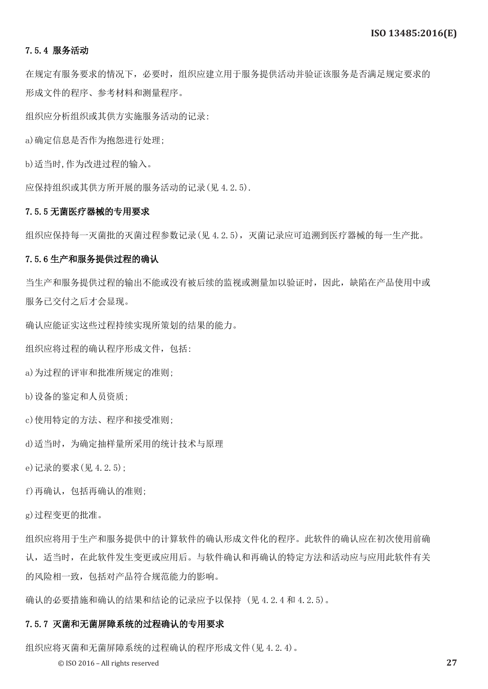#### 7.5.4 服务活动

在规定有服务要求的情况下, 必要时,组组织应建立用于服务提供活动并验证该服务是否满足规定要求的 形成文件的程序、参考材料和测量程序。

组织应分析组织或其供方实施服务活动的记录:

a)确定信息是否作为抱怨进行处理;

b)适当时,作为改进过程的输入。

应保持组织或其供方所开展的服务活动的记录(见 4.2.5).

#### 7.5.5 无菌医疗器械的专用要求

组织应保持每一灭菌批的灭菌过程参数记录(见 4.2.5),灭菌记录应可追溯到医疗器械的每一生产批。

#### 7.5.6 生产和服务提供过程的确认

当生产和服务提供过程的输出不能或没有被后续的监视或测量加以验证时,因此,缺陷在产品使用中或 服务已交付之后才会显现。

确认应能证实这些过程持续实现所策划的结果的能力。

组织应将过程的确认程序形成文件,包括:

a)为过程的评审和批准所规定的准则;

b)设备的鉴定和人员资质;

c)使用特定的方法、程序和接受准则;

d)适当时,为确定抽样量所采用的统计技术与原理

e)记录的要求(见 4.2.5);

f)再确认,包括再确认的准则;

g)过程变更的批准。

组织应将用于生产和服务提供中的计算软件的确认形成文件化的程序。此软件的确认应在初次使用前确 认,适当时,在此软件发生变更或应用后。与软件确认和再确认的特定方法和活动应与应用此软件有关 的风险相一致,包括对产品符合规范能力的影响。

确认的必要措施和确认的结果和结论的记录应予以保持 (见 4.2.4 和 4.2.5)。

#### 7.5.7 灭菌和无菌屏障系统的过程确认的专用要求

组织应将灭菌和无菌屏障系统的过程确认的程序形成文件(见 4.2.4)。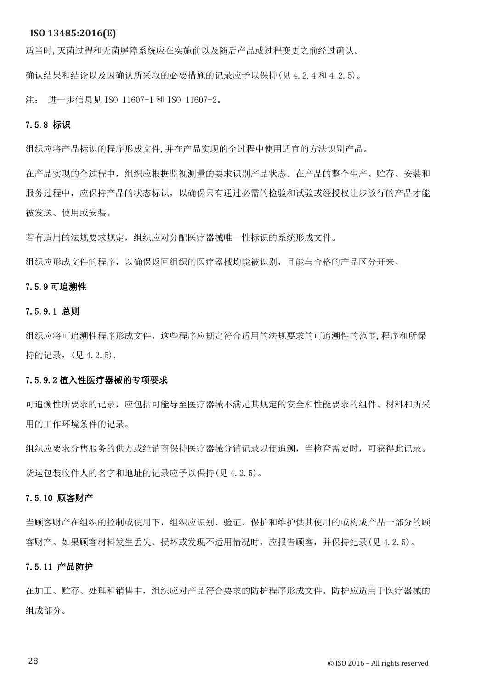适当时,灭菌过程和无菌屏障系统应在实施前以及随后产品或过程变更之前经过确认。

确认结果和结论以及因确认所采取的必要措施的记录应予以保持(见 4.2.4 和 4.2.5)。

注: 进一步信息见 ISO 11607-1 和 ISO 11607-2。

#### 7.5.8 标识

组织应将产品标识的程序形成文件,并在产品实现的全过程中使用适宜的方法识别产品。

在产品实现的全过程中,组织应根据监视测量的要求识别产品状态。在产品的整个生产、贮存、安装和 服务过程中,应保持产品的状态标识,以确保只有通过必需的检验和试验或经授权让步放行的产品才能 被发送、使用或安装。

若有适用的法规要求规定,组织应对分配医疗器械唯一性标识的系统形成文件。

组织应形成文件的程序,以确保返回组织的医疗器械均能被识别,且能与合格的产品区分开来。

#### 7.5.9 可追溯性

#### 7.5.9.1 总则

组织应将可追溯性程序形成文件,这些程序应规定符合适用的法规要求的可追溯性的范围,程序和所保 持的记录,(见 4.2.5).

#### 7.5.9.2 植入性医疗器械的专项要求

可追溯性所要求的记录,应包括可能导至医疗器械不满足其规定的安全和性能要求的组件、材料和所采 用的工作环境条件的记录。

组织应要求分售服务的供方或经销商保持医疗器械分销记录以便追溯,当检查需要时,可获得此记录。 货运包装收件人的名字和地址的记录应予以保持(见 4.2.5)。

#### 7.5.10 顾客财产

当顾客财产在组织的控制或使用下,组织应识别、验证、保护和维护供其使用的或构成产品一部分的顾 客财产。如果顾客材料发生丢失、损坏或发现不适用情况时,应报告顾客,并保持纪录(见 4.2.5)。

#### 7.5.11 产品防护

在加工、贮存、处理和销售中,组织应对产品符合要求的防护程序形成文件。防护应适用于医疗器械的 组成部分。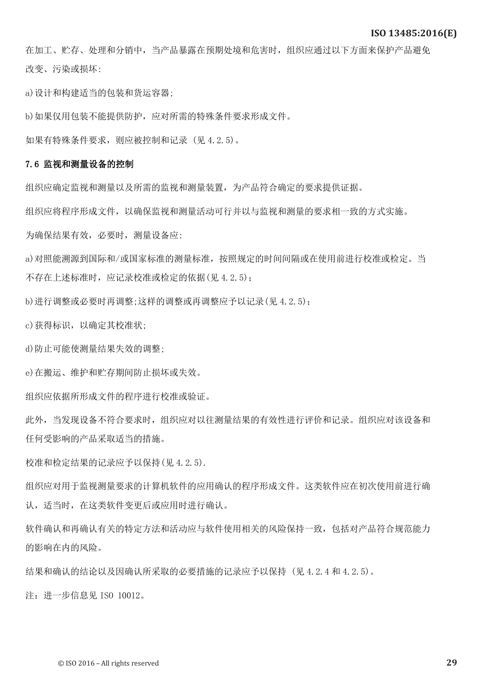在加工、贮存、处理和分销中,当产品暴露在预期处境和危害时,组织应通过以下方面来保护产品避免 改变、污染或损坏:

a)设计和构建适当的包装和货运容器;

b)如果仅用包装不能提供防护,应对所需的特殊条件要求形成文件。

如果有特殊条件要求,则应被控制和记录 (见 4.2.5)。

#### 7.6 监视和测量设备的控制

组织应确定监视和测量以及所需的监视和测量装置,为产品符合确定的要求提供证据。

组织应将程序形成文件,以确保监视和测量活动可行并以与监视和测量的要求相一致的方式实施。

为确保结果有效,必要时,测量设备应:

a)对照能溯源到国际和/或国家标准的测量标准,按照规定的时间间隔或在使用前进行校准或检定。当 不存在上述标准时,应记录校准或检定的依据(见 4.2.5);

b)进行调整或必要时再调整;这样的调整或再调整应予以记录(见 4.2.5);

c)获得标识,以确定其校准状;

d)防止可能使测量结果失效的调整;

e)在搬运、维护和贮存期间防止损坏或失效。

组织应依据所形成文件的程序进行校准或验证。

此外,当发现设备不符合要求时,组织应对以往测量结果的有效性进行评价和记录。组织应对该设备和 任何受影响的产品采取适当的措施。

校准和检定结果的记录应予以保持(见 4.2.5).

组织应对用于监视测量要求的计算机软件的应用确认的程序形成文件。这类软件应在初次使用前进行确 认,适当时,在这类软件变更后或应用时进行确认。

软件确认和再确认有关的特定方法和活动应与软件使用相关的风险保持一致,包括对产品符合规范能力 的影响在内的风险。

结果和确认的结论以及因确认所采取的必要措施的记录应予以保持 (见 4.2.4 和 4.2.5)。

注:进一步信息见 ISO 10012。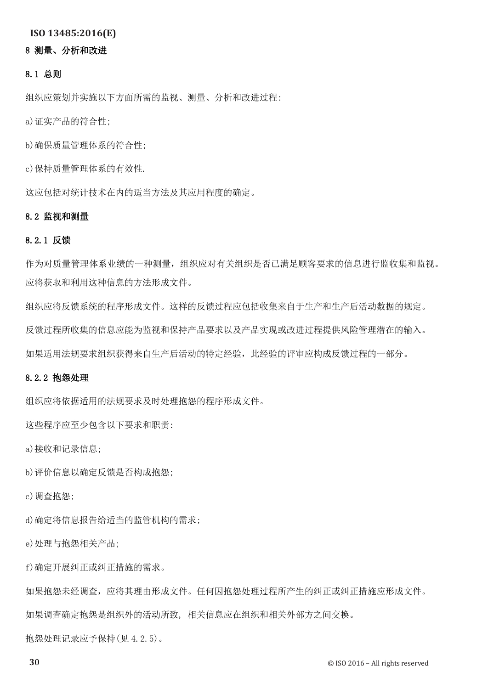# 8 测量、分析和改进

#### 8.1 总则

组织应策划并实施以下方面所需的监视、测量、分析和改进过程:

a)证实产品的符合性;

b)确保质量管理体系的符合性;

c)保持质量管理体系的有效性.

这应包括对统计技术在内的适当方法及其应用程度的确定。

#### 8.2 监视和测量

#### 8.2.1 反馈

作为对质量管理体系业绩的一种测量,组织应对有关组织是否已满足顾客要求的信息进行监收集和监视。 应将获取和利用这种信息的方法形成文件。

组织应将反馈系统的程序形成文件。这样的反馈过程应包括收集来自于生产和生产后活动数据的规定。 反馈过程所收集的信息应能为监视和保持产品要求以及产品实现或改进过程提供风险管理潜在的输入。

如果适用法规要求组织获得来自生产后活动的特定经验,此经验的评审应构成反馈过程的一部分。

### 8.2.2 抱怨处理

组织应将依据适用的法规要求及时处理抱怨的程序形成文件。

这些程序应至少包含以下要求和职责:

a)接收和记录信息;

b)评价信息以确定反馈是否构成抱怨;

c)调查抱怨;

d)确定将信息报告给适当的监管机构的需求;

e)处理与抱怨相关产品;

f)确定开展纠正或纠正措施的需求。

如果抱怨未经调查,应将其理由形成文件。任何因抱怨处理过程所产生的纠正或纠正措施应形成文件。

如果调查确定抱怨是组织外的活动所致, 相关信息应在组织和相关外部方之间交换。

抱怨处理记录应予保持(见 4.2.5)。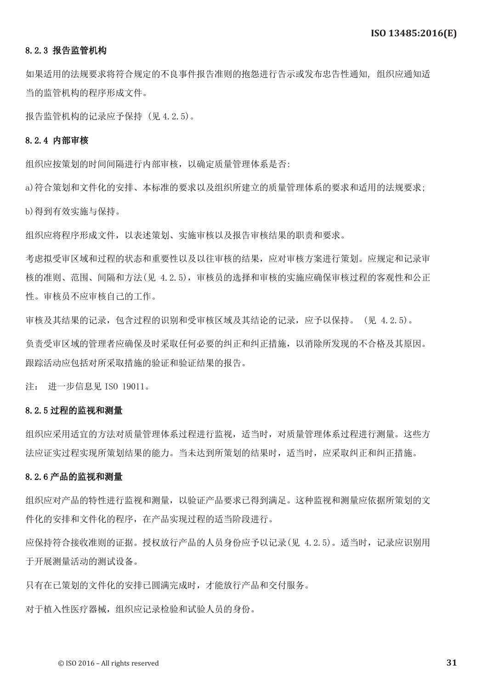### 8.2.3 报告监管机构

如果适用的法规要求将符合规定的不良事件报告准则的抱怨进行告示或发布忠告性通知, 组织应通知适 当的监管机构的程序形成文件。

报告监管机构的记录应予保持 (见 4.2.5)。

#### 8.2.4 内部审核

组织应按策划的时间间隔进行内部审核,以确定质量管理体系是否:

a)符合策划和文件化的安排、本标准的要求以及组织所建立的质量管理体系的要求和适用的法规要求; b)得到有效实施与保持。

组织应将程序形成文件,以表述策划、实施审核以及报告审核结果的职责和要求。

考虑拟受审区域和过程的状态和重要性以及以往审核的结果,应对审核方案进行策划。应规定和记录审 核的准则、范围、间隔和方法(见 4.2.5),审核员的选择和审核的实施应确保审核过程的客观性和公正 性。审核员不应审核自己的工作。

审核及其结果的记录,包含过程的识别和受审核区域及其结论的记录,应予以保持。 (见 4.2.5)。

负责受审区域的管理者应确保及时采取任何必要的纠正和纠正措施,以消除所发现的不合格及其原因。 跟踪活动应包括对所采取措施的验证和验证结果的报告。

注: 进一步信息见 ISO 19011。

#### 8.2.5 过程的监视和测量

组织应采用适宜的方法对质量管理体系过程进行监视,适当时,对质量管理体系过程进行测量。这些方 法应证实过程实现所策划结果的能力。当未达到所策划的结果时,适当时,应采取纠正和纠正措施。

#### 8.2.6 产品的监视和测量

组织应对产品的特性进行监视和测量,以验证产品要求已得到满足。这种监视和测量应依据所策划的文 件化的安排和文件化的程序,在产品实现过程的适当阶段进行。

应保持符合接收准则的证据。授权放行产品的人员身份应予以记录(见 4.2.5)。适当时,记录应识别用 于开展测量活动的测试设备。

只有在已策划的文件化的安排已圆满完成时,才能放行产品和交付服务。

对于植入性医疗器械,组织应记录检验和试验人员的身份。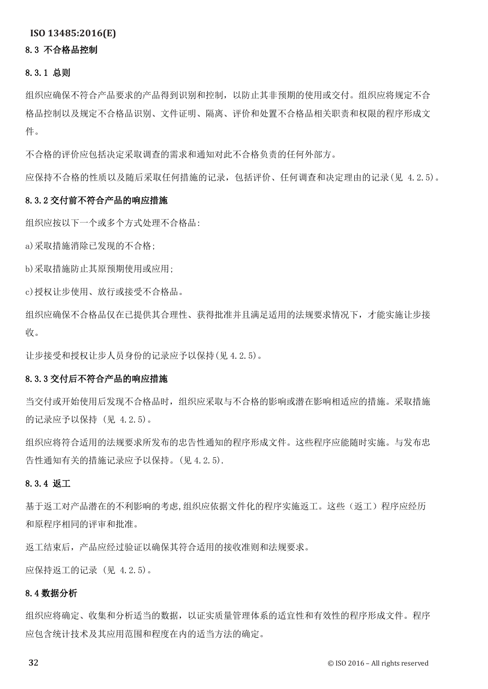# 8.3 不合格品控制

#### 8.3.1 总则

组织应确保不符合产品要求的产品得到识别和控制,以防止其非预期的使用或交付。组织应将规定不合 格品控制以及规定不合格品识别、文件证明、隔离、评价和处置不合格品相关职责和权限的程序形成文 件。

不合格的评价应包括决定采取调查的需求和通知对此不合格负责的任何外部方。

应保持不合格的性质以及随后采取任何措施的记录,包括评价、任何调查和决定理由的记录(见 4.2.5)。

#### 8.3.2 交付前不符合产品的响应措施

组织应按以下一个或多个方式处理不合格品:

a)采取措施消除已发现的不合格;

b)采取措施防止其原预期使用或应用;

c)授权让步使用、放行或接受不合格品。

组织应确保不合格品仅在已提供其合理性、获得批准并且满足适用的法规要求情况下,才能实施让步接 收。

让步接受和授权让步人员身份的记录应予以保持(见 4.2.5)。

#### 8.3.3 交付后不符合产品的响应措施

当交付或开始使用后发现不合格品时,组织应采取与不合格的影响或潜在影响相适应的措施。采取措施 的记录应予以保持 (见 4.2.5)。

组织应将符合适用的法规要求所发布的忠告性通知的程序形成文件。这些程序应能随时实施。与发布忠 告性通知有关的措施记录应予以保持。(见 4.2.5).

#### 8.3.4 返工

基于返工对产品潜在的不利影响的考虑,组织应依据文件化的程序实施返工。这些(返工)程序应经历 和原程序相同的评审和批准。

返工结束后,产品应经过验证以确保其符合适用的接收准则和法规要求。

应保持返工的记录 (见 4.2.5)。

#### 8.4 数据分析

组织应将确定、收集和分析适当的数据,以证实质量管理体系的适宜性和有效性的程序形成文件。程序 应包含统计技术及其应用范围和程度在内的适当方法的确定。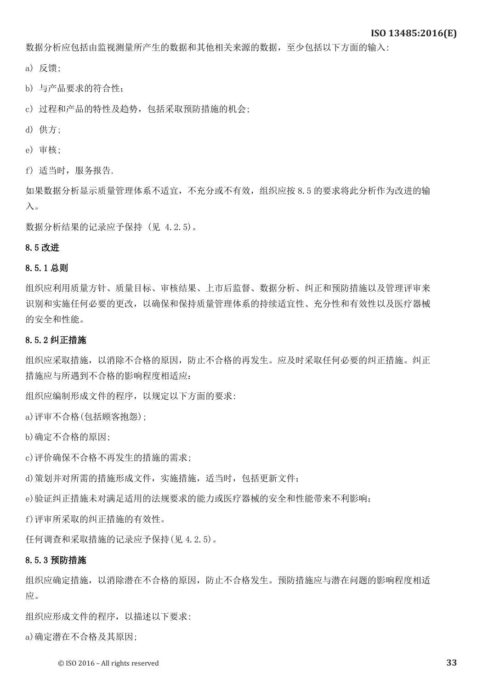数据分析应包括由监视测量所产生的数据和其他相关来源的数据,至少包括以下方面的输入:

a) 反馈;

b) 与产品要求的符合性;

c) 过程和产品的特性及趋势,包括采取预防措施的机会;

- d) 供方;
- e) 审核;

f) 适当时,服务报告.

如果数据分析显示质量管理体系不适宜,不充分或不有效,组织应按 8.5 的要求将此分析作为改进的输 入。

数据分析结果的记录应予保持 (见 4.2.5)。

#### 8.5 改进

#### 8.5.1 总则

组织应利用质量方针、质量目标、审核结果、上市后监督、数据分析、纠正和预防措施以及管理评审来 识别和实施任何必要的更改,以确保和保持质量管理体系的持续适宜性、充分性和有效性以及医疗器械 的安全和性能。

#### 8.5.2 纠正措施

组织应采取措施,以消除不合格的原因,防止不合格的再发生。应及时采取任何必要的纠正措施。纠正 措施应与所遇到不合格的影响程度相适应:

组织应编制形成文件的程序,以规定以下方面的要求:

a)评审不合格(包括顾客抱怨);

b)确定不合格的原因;

c)评价确保不合格不再发生的措施的需求;

d)策划并对所需的措施形成文件,实施措施,适当时,包括更新文件;

e)验证纠正措施未对满足适用的法规要求的能力或医疗器械的安全和性能带来不利影响;

f)评审所采取的纠正措施的有效性。

任何调查和采取措施的记录应予保持(见 4.2.5)。

#### 8.5.3 预防措施

组织应确定措施,以消除潜在不合格的原因,防止不合格发生。预防措施应与潜在问题的影响程度相适 应。

组织应形成文件的程序,以描述以下要求:

a)确定潜在不合格及其原因;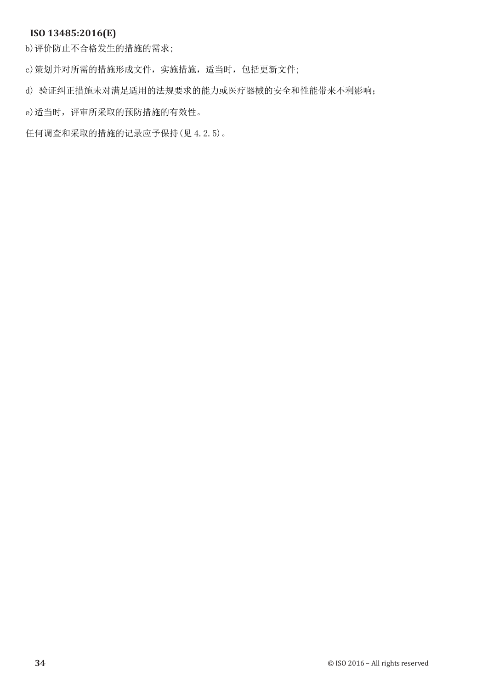b)评价防止不合格发生的措施的需求;

c)策划并对所需的措施形成文件,实施措施,适当时,包括更新文件;

d) 验证纠正措施未对满足适用的法规要求的能力或医疗器械的安全和性能带来不利影响;

e)适当时, 评审所采取的预防措施的有效性。

任何调查和采取的措施的记录应予保持(见 4.2.5)。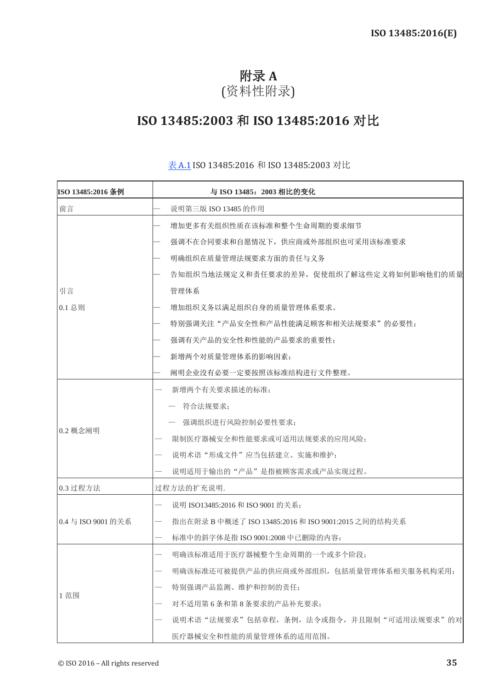# 附录 **A** (资料性附录)

# **ISO 13485:2003** 和 **ISO 13485:2016** 对比

| ISO 13485:2016 条例  | 与 ISO 13485: 2003 相比的变化                             |
|--------------------|-----------------------------------------------------|
| 前言                 | 说明第三版 ISO 13485 的作用                                 |
|                    | 增加更多有关组织性质在该标准和整个生命周期的要求细节                          |
|                    | 强调不在合同要求和自愿情况下,供应商或外部组织也可采用该标准要求                    |
|                    | 明确组织在质量管理法规要求方面的责任与义务                               |
|                    | 告知组织当地法规定义和责任要求的差异,促使组织了解这些定义将如何影响他们的质量             |
| 引言                 | 管理体系                                                |
| 0.1 总则             | 增加组织义务以满足组织自身的质量管理体系要求。                             |
|                    | 特别强调关注"产品安全性和产品性能满足顾客和相关法规要求"的必要性;                  |
|                    | 强调有关产品的安全性和性能的产品要求的重要性;                             |
|                    | 新增两个对质量管理体系的影响因素;                                   |
|                    | 阐明企业没有必要一定要按照该标准结构进行文件整理。                           |
|                    | 新增两个有关要求描述的标准;                                      |
|                    | 符合法规要求;                                             |
|                    | 强调组织进行风险控制必要性要求;                                    |
| 0.2 概念阐明           | 限制医疗器械安全和性能要求或可适用法规要求的应用风险;                         |
|                    | 说明术语"形成文件"应当包括建立、实施和维护;                             |
|                    | 说明适用于输出的"产品"是指被顾客需求或产品实现过程。                         |
| 0.3 过程方法           | 过程方法的扩充说明.                                          |
|                    | 说明 ISO13485:2016 和 ISO 9001 的关系:                    |
| 0.4 与 ISO 9001 的关系 | 指出在附录 B 中概述了 ISO 13485:2016 和 ISO 9001:2015 之间的结构关系 |
|                    | 标准中的斜字体是指 ISO 9001:2008 中己删除的内容;                    |
|                    | 明确该标准适用于医疗器械整个生命周期的一个或多个阶段;                         |
|                    | 明确该标准还可被提供产品的供应商或外部组织,包括质量管理体系相关服务机构采用:             |
|                    | 特别强调产品监测、维护和控制的责任;                                  |
| 1 范围               | 对不适用第6条和第8条要求的产品补充要求;                               |
|                    | 说明术语"法规要求"包括章程, 条例, 法令或指令, 并且限制"可适用法规要求"的对          |
|                    | 医疗器械安全和性能的质量管理体系的适用范围。                              |

#### 表A.1 ISO 13485:2016 和 ISO 13485:2003 对比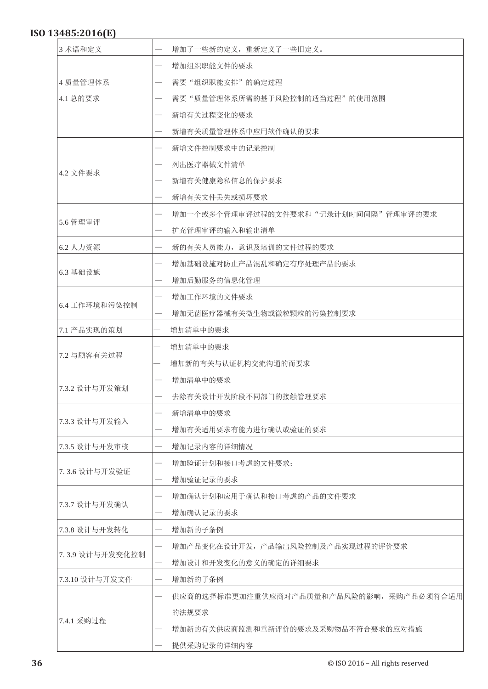| 3 术语和定义         |  | 增加了一些新的定义, 重新定义了一些旧定义。                  |
|-----------------|--|-----------------------------------------|
|                 |  | 增加组织职能文件的要求                             |
| 4 质量管理体系        |  | 需要"组织职能安排"的确定过程                         |
| 4.1 总的要求        |  | 需要"质量管理体系所需的基于风险控制的适当过程"的使用范围           |
|                 |  | 新增有关过程变化的要求                             |
|                 |  | 新增有关质量管理体系中应用软件确认的要求                    |
|                 |  | 新增文件控制要求中的记录控制                          |
|                 |  | 列出医疗器械文件清单                              |
| 4.2 文件要求        |  | 新增有关健康隐私信息的保护要求                         |
|                 |  | 新增有关文件丢失或损坏要求                           |
|                 |  | 增加一个或多个管理审评过程的文件要求和"记录计划时间间隔"管理审评的要求    |
| 5.6 管理审评        |  | 扩充管理审评的输入和输出清单                          |
| 6.2 人力资源        |  | 新的有关人员能力,意识及培训的文件过程的要求                  |
|                 |  | 增加基础设施对防止产品混乱和确定有序处理产品的要求               |
| 6.3 基础设施        |  | 增加后勤服务的信息化管理                            |
|                 |  | 增加工作环境的文件要求                             |
| 6.4 工作环境和污染控制   |  | 增加无菌医疗器械有关微生物或微粒颗粒的污染控制要求               |
| 7.1 产品实现的策划     |  | 增加清单中的要求                                |
|                 |  | 增加清单中的要求                                |
| 7.2 与顾客有关过程     |  | 增加新的有关与认证机构交流沟通的而要求                     |
|                 |  | 增加清单中的要求                                |
| 7.3.2 设计与开发策划   |  | 去除有关设计开发阶段不同部门的接触管理要求                   |
|                 |  | 新增清单中的要求                                |
| 7.3.3 设计与开发输入   |  | 增加有关适用要求有能力进行确认或验证的要求                   |
| 7.3.5 设计与开发审核   |  | 增加记录内容的详细情况                             |
|                 |  | 增加验证计划和接口考虑的文件要求;                       |
| 7.3.6 设计与开发验证   |  | 增加验证记录的要求                               |
|                 |  | 增加确认计划和应用于确认和接口考虑的产品的文件要求               |
| 7.3.7 设计与开发确认   |  | 增加确认记录的要求                               |
| 7.3.8 设计与开发转化   |  | 增加新的子条例                                 |
|                 |  | 增加产品变化在设计开发,产品输出风险控制及产品实现过程的评价要求        |
| 7.3.9 设计与开发变化控制 |  | 增加设计和开发变化的意义的确定的详细要求                    |
| 7.3.10 设计与开发文件  |  | 增加新的子条例                                 |
|                 |  | 供应商的选择标准更加注重供应商对产品质量和产品风险的影响,采购产品必须符合适用 |
|                 |  | 的法规要求                                   |
| 7.4.1 采购过程      |  | 增加新的有关供应商监测和重新评价的要求及采购物品不符合要求的应对措施      |
|                 |  | 提供采购记录的详细内容                             |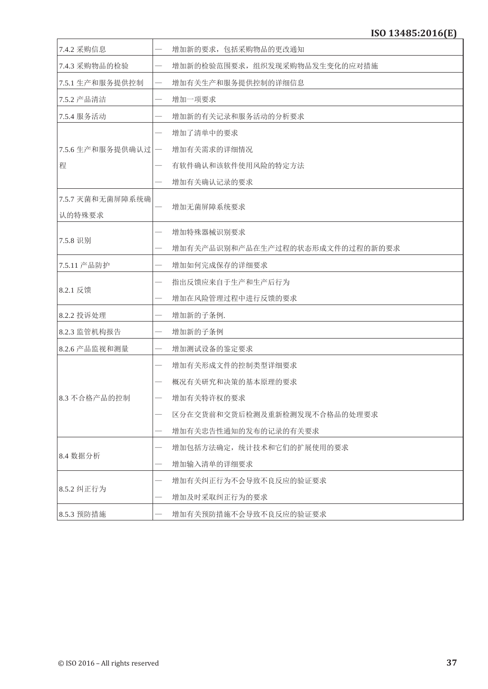| 7.4.2 采购信息       |                          | 增加新的要求,包括采购物品的更改通知              |
|------------------|--------------------------|---------------------------------|
| 7.4.3 采购物品的检验    |                          | 增加新的检验范围要求,组织发现采购物品发生变化的应对措施    |
| 7.5.1 生产和服务提供控制  |                          | 增加有关生产和服务提供控制的详细信息              |
| 7.5.2 产品清洁       |                          | 增加一项要求                          |
| 7.5.4 服务活动       |                          | 增加新的有关记录和服务活动的分析要求              |
|                  |                          | 增加了清单中的要求                       |
| 7.5.6 生产和服务提供确认过 | $\overline{\phantom{m}}$ | 增加有关需求的详细情况                     |
| 程                |                          | 有软件确认和该软件使用风险的特定方法              |
|                  |                          | 增加有关确认记录的要求                     |
| 7.5.7 灭菌和无菌屏障系统确 |                          |                                 |
| 认的特殊要求           |                          | 增加无菌屏障系统要求                      |
|                  |                          | 增加特殊器械识别要求                      |
| 7.5.8 识别         |                          | 增加有关产品识别和产品在生产过程的状态形成文件的过程的新的要求 |
| 7.5.11 产品防护      |                          | 增加如何完成保存的详细要求                   |
|                  |                          | 指出反馈应来自于生产和生产后行为                |
| 8.2.1 反馈         |                          | 增加在风险管理过程中进行反馈的要求               |
| 8.2.2 投诉处理       |                          | 增加新的子条例.                        |
| 8.2.3 监管机构报告     |                          | 增加新的子条例                         |
| 8.2.6 产品监视和测量    |                          | 增加测试设备的鉴定要求                     |
|                  |                          | 增加有关形成文件的控制类型详细要求               |
|                  |                          | 概况有关研究和决策的基本原理的要求               |
| 8.3 不合格产品的控制     |                          | 增加有关特许权的要求                      |
|                  |                          | 区分在交货前和交货后检测及重新检测发现不合格品的处理要求    |
|                  |                          | 增加有关忠告性通知的发布的记录的有关要求            |
|                  |                          | 增加包括方法确定, 统计技术和它们的扩展使用的要求       |
| 8.4 数据分析         |                          | 增加输入清单的详细要求                     |
|                  |                          | 增加有关纠正行为不会导致不良反应的验证要求           |
| 8.5.2 纠正行为       |                          | 增加及时采取纠正行为的要求                   |
| 8.5.3 预防措施       |                          | 增加有关预防措施不会导致不良反应的验证要求           |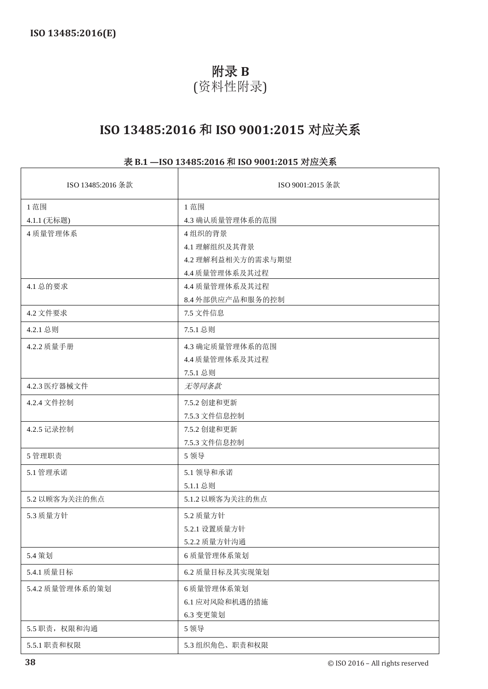# 附录 **B**

# (资料性附录)

# **ISO 13485:2016** 和 **ISO 9001:2015** 对应关系

# 表 **B.1 —ISO 13485:2016** 和 **ISO 9001:2015** 对应关系

| ISO 13485:2016 条款 | ISO 9001:2015 条款  |
|-------------------|-------------------|
| 1范围               | 1 范围              |
| 4.1.1 (无标题)       | 4.3 确认质量管理体系的范围   |
| 4 质量管理体系          | 4组织的背景            |
|                   | 4.1 理解组织及其背景      |
|                   | 4.2 理解利益相关方的需求与期望 |
|                   | 4.4 质量管理体系及其过程    |
| 4.1 总的要求          | 4.4 质量管理体系及其过程    |
|                   | 8.4 外部供应产品和服务的控制  |
| 4.2 文件要求          | 7.5 文件信息          |
| 4.2.1 总则          | 7.5.1 总则          |
| 4.2.2 质量手册        | 4.3 确定质量管理体系的范围   |
|                   | 4.4 质量管理体系及其过程    |
|                   | 7.5.1 总则          |
| 4.2.3 医疗器械文件      | 无等同条款             |
| 4.2.4 文件控制        | 7.5.2 创建和更新       |
|                   | 7.5.3 文件信息控制      |
| 4.2.5 记录控制        | 7.5.2 创建和更新       |
|                   | 7.5.3 文件信息控制      |
| 5 管理职责            | 5 领导              |
| 5.1 管理承诺          | 5.1 领导和承诺         |
|                   | 5.1.1 总则          |
| 5.2 以顾客为关注的焦点     | 5.1.2 以顾客为关注的焦点   |
| 5.3 质量方针          | 5.2 质量方针          |
|                   | 5.2.1 设置质量方针      |
|                   | 5.2.2 质量方针沟通      |
| 5.4 策划            | 6 质量管理体系策划        |
| 5.4.1 质量目标        | 6.2 质量目标及其实现策划    |
| 5.4.2 质量管理体系的策划   | 6质量管理体系策划         |
|                   | 6.1 应对风险和机遇的措施    |
|                   | 6.3 变更策划          |
| 5.5 职责, 权限和沟通     | 5 领导              |
| 5.5.1 职责和权限       | 5.3 组织角色、职责和权限    |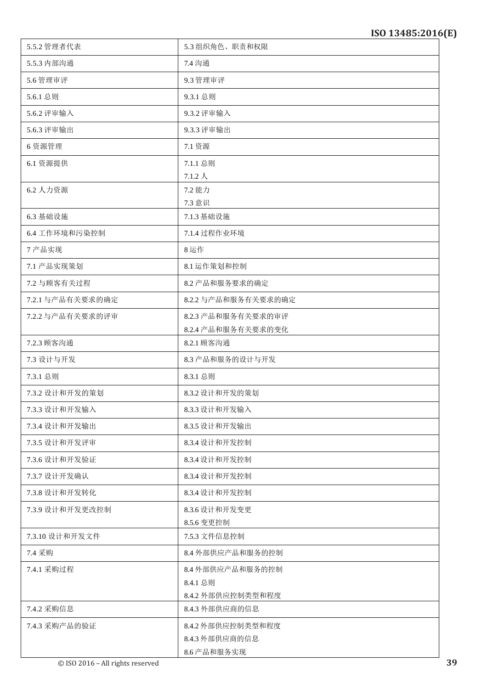| 5.5.2 管理者代表      | 5.3组织角色、职责和权限                |
|------------------|------------------------------|
| 5.5.3 内部沟通       | 7.4 沟通                       |
| 5.6 管理审评         | 9.3 管理审评                     |
| 5.6.1 总则         | 9.3.1 总则                     |
| 5.6.2 评审输入       | 9.3.2 评审输入                   |
| 5.6.3 评审输出       | 9.3.3 评审输出                   |
| 6 资源管理           | 7.1 资源                       |
| 6.1 资源提供         | 7.1.1 总则                     |
|                  | $7.1.2\;$ $\lambda$          |
| 6.2 人力资源         | 7.2 能力<br>7.3 意识             |
| 6.3 基础设施         | 7.1.3 基础设施                   |
| 6.4 工作环境和污染控制    | 7.1.4 过程作业环境                 |
| 7产品实现            | 8运作                          |
| 7.1 产品实现策划       | 8.1 运作策划和控制                  |
| 7.2 与顾客有关过程      | 8.2 产品和服务要求的确定               |
| 7.2.1 与产品有关要求的确定 | 8.2.2 与产品和服务有关要求的确定          |
| 7.2.2 与产品有关要求的评审 | 8.2.3 产品和服务有关要求的审评           |
|                  | 8.2.4 产品和服务有关要求的变化           |
| 7.2.3 顾客沟通       | 8.2.1 顾客沟通                   |
| 7.3 设计与开发        | 8.3 产品和服务的设计与开发              |
| 7.3.1 总则         | 8.3.1 总则                     |
| 7.3.2 设计和开发的策划   | 8.3.2 设计和开发的策划               |
| 7.3.3 设计和开发输入    | 8.3.3 设计和开发输入                |
| 7.3.4 设计和开发输出    | 8.3.5 设计和开发输出                |
| 7.3.5 设计和开发评审    | 8.3.4 设计和开发控制                |
| 7.3.6 设计和开发验证    | 8.3.4 设计和开发控制                |
| 7.3.7 设计开发确认     | 8.3.4 设计和开发控制                |
| 7.3.8 设计和开发转化    | 8.3.4 设计和开发控制                |
| 7.3.9 设计和开发更改控制  | 8.3.6 设计和开发变更                |
|                  | 8.5.6 变更控制                   |
| 7.3.10 设计和开发文件   | 7.5.3 文件信息控制                 |
| 7.4 采购           | 8.4 外部供应产品和服务的控制             |
| 7.4.1 采购过程       | 8.4 外部供应产品和服务的控制<br>8.4.1 总则 |
|                  | 8.4.2 外部供应控制类型和程度            |
| 7.4.2 采购信息       | 8.4.3 外部供应商的信息               |
| 7.4.3 采购产品的验证    | 8.4.2 外部供应控制类型和程度            |
|                  | 8.4.3 外部供应商的信息               |
|                  | 8.6 产品和服务实现                  |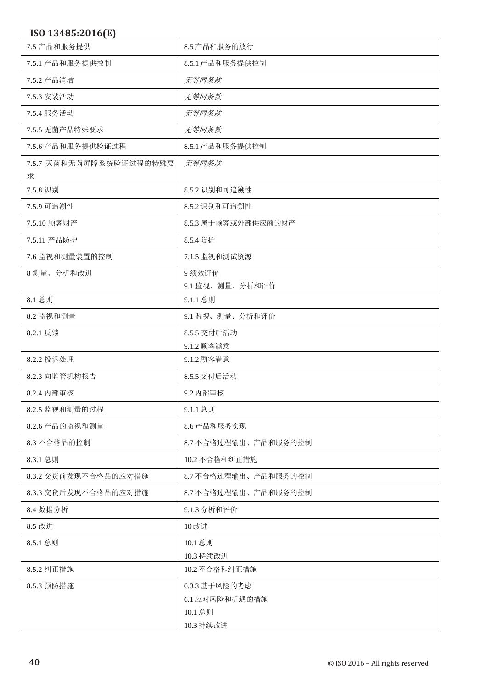| 7.5 产品和服务提供                  | 8.5 产品和服务的放行         |
|------------------------------|----------------------|
| 7.5.1 产品和服务提供控制              | 8.5.1 产品和服务提供控制      |
| 7.5.2 产品清洁                   | 无等同条款                |
| 7.5.3 安装活动                   | 无等同条款                |
| 7.5.4 服务活动                   | 无等同条款                |
| 7.5.5 无菌产品特殊要求               | 无等同条款                |
| 7.5.6 产品和服务提供验证过程            | 8.5.1 产品和服务提供控制      |
| 7.5.7 灭菌和无菌屏障系统验证过程的特殊要<br>求 | 无等同条款                |
| 7.5.8 识别                     | 8.5.2 识别和可追溯性        |
| 7.5.9 可追溯性                   | 8.5.2 识别和可追溯性        |
| 7.5.10 顾客财产                  | 8.5.3 属于顾客或外部供应商的财产  |
| 7.5.11 产品防护                  | 8.5.4 防护             |
| 7.6 监视和测量装置的控制               | 7.1.5 监视和测试资源        |
| 8 测量、分析和改进                   | 9绩效评价                |
|                              | 9.1 监视、测量、分析和评价      |
| 8.1 总则                       | 9.1.1 总则             |
| 8.2 监视和测量                    | 9.1 监视、测量、分析和评价      |
| 8.2.1 反馈                     | 8.5.5 交付后活动          |
|                              | 9.1.2 顾客满意           |
| 8.2.2 投诉处理                   | 9.1.2 顾客满意           |
| 8.2.3 向监管机构报告                | 8.5.5 交付后活动          |
| 8.2.4 内部审核                   | 9.2 内部审核             |
| 8.2.5 监视和测量的过程               | 9.1.1 总则             |
| 8.2.6 产品的监视和测量               | 8.6 产品和服务实现          |
| 8.3 不合格品的控制                  | 8.7 不合格过程输出、产品和服务的控制 |
| 8.3.1 总则                     | 10.2 不合格和纠正措施        |
| 8.3.2 交货前发现不合格品的应对措施         | 8.7 不合格过程输出、产品和服务的控制 |
| 8.3.3 交货后发现不合格品的应对措施         | 8.7 不合格过程输出、产品和服务的控制 |
| 8.4 数据分析                     | 9.1.3 分析和评价          |
| 8.5 改进                       | 10 改进                |
| 8.5.1 总则                     | 10.1 总则              |
|                              | 10.3 持续改进            |
| 8.5.2 纠正措施                   | 10.2 不合格和纠正措施        |
| 8.5.3 预防措施                   | 0.3.3 基于风险的考虑        |
|                              | 6.1 应对风险和机遇的措施       |
|                              | 10.1 总则              |
|                              | 10.3 持续改进            |